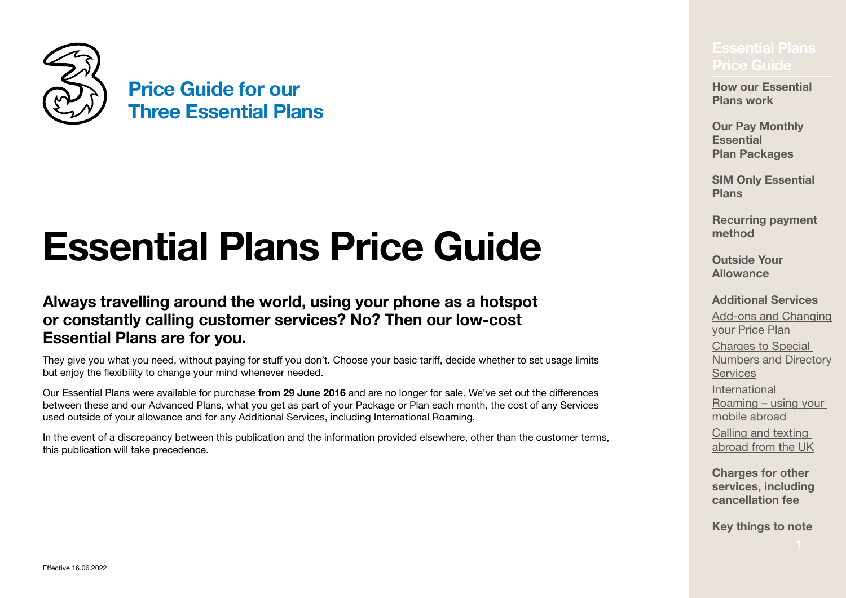

# <span id="page-0-0"></span>**Essential Plans Price Guide**

### **Always travelling around the world, using your phone as a hotspot or constantly calling customer services? No? Then our low‑cost Essential Plans are for you.**

They give you what you need, without paying for stuff you don't. Choose your basic tariff, decide whether to set usage limits but enjoy the flexibility to change your mind whenever needed.

Our Essential Plans were available for purchase **from 29 June 2016** and are no longer for sale. We've set out the differences between these and our Advanced Plans, what you get as part of your Package or Plan each month, the cost of any Services used outside of your allowance and for any Additional Services, including International Roaming.

In the event of a discrepancy between this publication and the information provided elsewhere, other than the customer terms, this publication will take precedence.

## **[Price Guide](#page-0-0)**

**[How our Essential](#page-2-0)  [Plans work](#page-2-0)**

**Our Pay Monthly Essential Plan Packages**

**[SIM Only Essential](#page-4-0)  [Plans](#page-4-0)**

**[Recurring payment](#page-5-0)  [method](#page-5-0)**

**[Outside Your](#page-6-0)  [Allowance](#page-6-0)**

#### **[Additional Services](#page-7-0)**

[Add‑ons and Changing](#page-8-0)  [your Price Plan](#page-8-0) Charges to Special [Numbers and Directory](#page-10-0)  **[Services](#page-10-0)** [International](#page-13-0)  Roaming [– using your](#page-13-0)  [mobile abroad](#page-13-0) Calling and texting abroad from the UK

**[Charges for other](#page-19-0)  [services, including](#page-19-0)  [cancellation fee](#page-19-0)**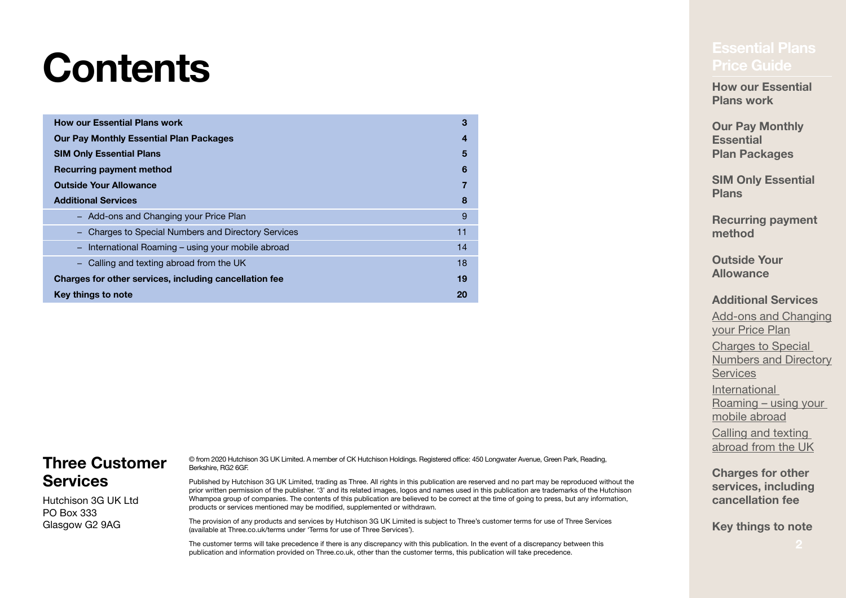# <span id="page-1-0"></span>**Contents** *Contents*

| <b>How our Essential Plans work</b>                    | 3  |  |
|--------------------------------------------------------|----|--|
| <b>Our Pay Monthly Essential Plan Packages</b>         |    |  |
| <b>SIM Only Essential Plans</b>                        | 5  |  |
| Recurring payment method                               | 6  |  |
| <b>Outside Your Allowance</b>                          |    |  |
| <b>Additional Services</b>                             | 8  |  |
| - Add-ons and Changing your Price Plan                 | 9  |  |
| Charges to Special Numbers and Directory Services      | 11 |  |
| - International Roaming - using your mobile abroad     | 14 |  |
| - Calling and texting abroad from the UK               | 18 |  |
| Charges for other services, including cancellation fee | 19 |  |
| Key things to note                                     | 20 |  |

### **Three Customer Services**

Hutchison 3G UK Ltd PO Box 333 Glasgow G2 9AG

© from 2020 Hutchison 3G UK Limited. A member of CK Hutchison Holdings. Registered office: 450 Longwater Avenue, Green Park, Reading, Berkshire, RG2 6GF.

Published by Hutchison 3G UK Limited, trading as Three. All rights in this publication are reserved and no part may be reproduced without the prior written permission of the publisher. '3' and its related images, logos and names used in this publication are trademarks of the Hutchison Whampoa group of companies. The contents of this publication are believed to be correct at the time of going to press, but any information, products or services mentioned may be modified, supplemented or withdrawn.

The provision of any products and services by Hutchison 3G UK Limited is subject to Three's customer terms for use of Three Services (available at [Three.co.uk/terms](http://Three.co.uk/terms) under 'Terms for use of Three Services').

The customer terms will take precedence if there is any discrepancy with this publication. In the event of a discrepancy between this publication and information provided on [Three.co.uk,](http://Three.co.uk) other than the customer terms, this publication will take precedence.

**How our Essential [Plans work](#page-2-0)**

**Our Pay Monthly Essential Plan Packages**

**[SIM Only Essential](#page-4-0)  [Plans](#page-4-0)**

**[Recurring payment](#page-5-0)  [method](#page-5-0)**

**[Outside Your](#page-6-0)  [Allowance](#page-6-0)**

#### **[Additional Services](#page-7-0)**

Add-ons and Changing [your Price Plan](#page-8-0) Charges to Special [Numbers and Directory](#page-10-0)  **[Services](#page-10-0)** [International](#page-13-0)  Roaming [– using your](#page-13-0)  [mobile abroad](#page-13-0) Calling and texting abroad from the UK

**[Charges for other](#page-19-0)  [services, including](#page-19-0)  [cancellation fee](#page-19-0)**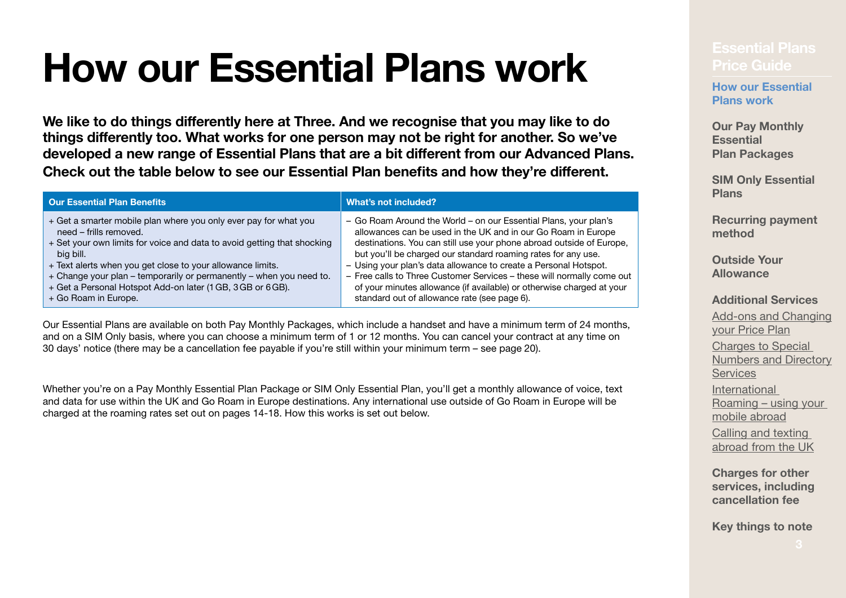# <span id="page-2-0"></span>**[Essential Plans](#page-0-0) How our Essential Plans work Price Guide**

**We like to do things differently here at Three. And we recognise that you may like to do things differently too. What works for one person may not be right for another. So we've developed a new range of Essential Plans that are a bit different from our Advanced Plans. Check out the table below to see our Essential Plan benefits and how they're different.**

| <b>Our Essential Plan Benefits</b>                                      | What's not included?                                                   |
|-------------------------------------------------------------------------|------------------------------------------------------------------------|
| + Get a smarter mobile plan where you only ever pay for what you        | - Go Roam Around the World - on our Essential Plans, your plan's       |
| need - frills removed.                                                  | allowances can be used in the UK and in our Go Roam in Europe          |
| + Set your own limits for voice and data to avoid getting that shocking | destinations. You can still use your phone abroad outside of Europe,   |
| big bill.                                                               | but you'll be charged our standard roaming rates for any use.          |
| + Text alerts when you get close to your allowance limits.              | - Using your plan's data allowance to create a Personal Hotspot.       |
| + Change your plan - temporarily or permanently - when you need to.     | - Free calls to Three Customer Services - these will normally come out |
| + Get a Personal Hotspot Add-on later (1 GB, 3 GB or 6 GB).             | of your minutes allowance (if available) or otherwise charged at your  |
| + Go Roam in Europe.                                                    | standard out of allowance rate (see page 6).                           |

Our Essential Plans are available on both Pay Monthly Packages, which include a handset and have a minimum term of 24 months, and on a SIM Only basis, where you can choose a minimum term of 1 or 12 months. You can cancel your contract at any time on 30 days' notice (there may be a cancellation fee payable if you're still within your minimum term – see [page](#page-19-0) 20).

Whether you're on a Pay Monthly Essential Plan Package or SIM Only Essential Plan, you'll get a monthly allowance of voice, text and data for use within the UK and Go Roam in Europe destinations. Any international use outside of Go Roam in Europe will be charged at the roaming rates set out on pages 14-[18.](#page-17-0) How this works is set out below.

**How our Essential Plans work**

**Our Pay Monthly Essential Plan Packages**

**SIM Only Essential Plans**

**Recurring payment method**

**Outside Your Allowance**

**Additional Services** Add-ons and Changing your Price Plan Charges to Special

Numbers and Directory **Services** International Roaming – using your

mobile abroad Calling and texting

abroad from the UK

**Charges for other services, including cancellation fee**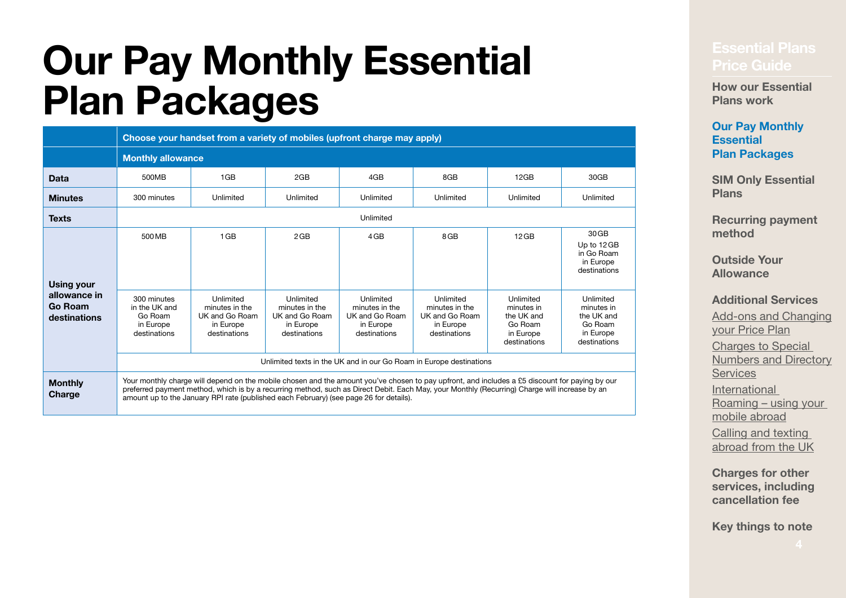# **[Essential Plans](#page-0-0) Our Pay Monthly Essential [Price Guide](#page-0-0) Plan Packages**

|                                                              |                                                                                                                                                                                                                                                                                                                                                                                           | Choose your handset from a variety of mobiles (upfront charge may apply)   |                                                                            |                                                                            |                                                                            |                                                                               |                                                                               |  |  |  |
|--------------------------------------------------------------|-------------------------------------------------------------------------------------------------------------------------------------------------------------------------------------------------------------------------------------------------------------------------------------------------------------------------------------------------------------------------------------------|----------------------------------------------------------------------------|----------------------------------------------------------------------------|----------------------------------------------------------------------------|----------------------------------------------------------------------------|-------------------------------------------------------------------------------|-------------------------------------------------------------------------------|--|--|--|
|                                                              |                                                                                                                                                                                                                                                                                                                                                                                           | <b>Monthly allowance</b>                                                   |                                                                            |                                                                            |                                                                            |                                                                               |                                                                               |  |  |  |
| Data                                                         | 500MB                                                                                                                                                                                                                                                                                                                                                                                     | 1GB<br>4GB<br>2GB<br>8GB<br>12GB<br>30GB                                   |                                                                            |                                                                            |                                                                            |                                                                               |                                                                               |  |  |  |
| <b>Minutes</b>                                               | 300 minutes                                                                                                                                                                                                                                                                                                                                                                               | Unlimited                                                                  | Unlimited                                                                  | Unlimited                                                                  | Unlimited                                                                  | Unlimited                                                                     | Unlimited                                                                     |  |  |  |
| <b>Texts</b>                                                 |                                                                                                                                                                                                                                                                                                                                                                                           |                                                                            |                                                                            | Unlimited                                                                  |                                                                            |                                                                               |                                                                               |  |  |  |
| <b>Using your</b><br>allowance in<br>Go Roam<br>destinations | 500 MB                                                                                                                                                                                                                                                                                                                                                                                    | 1 <sub>GB</sub>                                                            | 2GB                                                                        | 4GB                                                                        | 8GB                                                                        | $12$ GB                                                                       | 30 GB<br>Up to 12 GB<br>in Go Roam<br>in Europe<br>destinations               |  |  |  |
|                                                              | 300 minutes<br>in the UK and<br>Go Roam<br>in Europe<br>destinations                                                                                                                                                                                                                                                                                                                      | Unlimited<br>minutes in the<br>UK and Go Roam<br>in Europe<br>destinations | Unlimited<br>minutes in the<br>UK and Go Roam<br>in Europe<br>destinations | Unlimited<br>minutes in the<br>UK and Go Roam<br>in Europe<br>destinations | Unlimited<br>minutes in the<br>UK and Go Roam<br>in Europe<br>destinations | Unlimited<br>minutes in<br>the UK and<br>Go Roam<br>in Europe<br>destinations | Unlimited<br>minutes in<br>the UK and<br>Go Roam<br>in Europe<br>destinations |  |  |  |
|                                                              | Unlimited texts in the UK and in our Go Roam in Europe destinations                                                                                                                                                                                                                                                                                                                       |                                                                            |                                                                            |                                                                            |                                                                            |                                                                               |                                                                               |  |  |  |
| <b>Monthly</b><br>Charge                                     | Your monthly charge will depend on the mobile chosen and the amount you've chosen to pay upfront, and includes a £5 discount for paying by our<br>preferred payment method, which is by a recurring method, such as Direct Debit. Each May, your Monthly (Recurring) Charge will increase by an<br>amount up to the January RPI rate (published each February) (see page 26 for details). |                                                                            |                                                                            |                                                                            |                                                                            |                                                                               |                                                                               |  |  |  |

**[How our Essential](#page-2-0)  [Plans work](#page-2-0)**

#### **Our Pay Monthly Essential Plan Packages**

**[SIM Only Essential](#page-4-0)  [Plans](#page-4-0)**

**[Recurring payment](#page-5-0)  [method](#page-5-0)**

**[Outside Your](#page-6-0)  [Allowance](#page-6-0)**

**[Additional Services](#page-7-0)**

Add-ons and Changing [your Price Plan](#page-8-0) Charges to Special [Numbers and Directory](#page-10-0)  **[Services](#page-10-0)** [International](#page-13-0)  Roaming [– using your](#page-13-0)  [mobile abroad](#page-13-0) Calling and texting abroad from the UK

**[Charges for other](#page-19-0)  [services, including](#page-19-0)  [cancellation fee](#page-19-0)**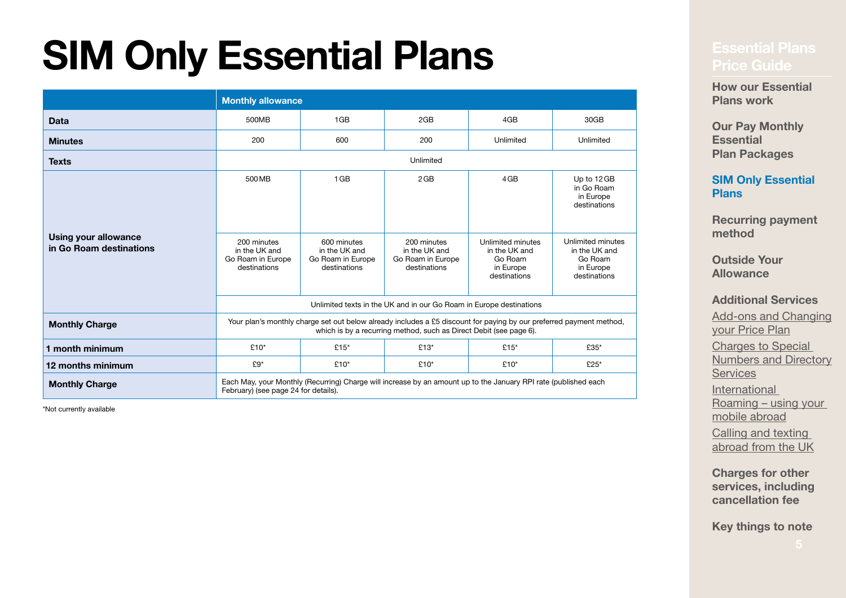# <span id="page-4-0"></span>**[Essential Plans](#page-0-0) SIM Only Essential Plans Price Guide**

|                                                        |                                                                                                                                                                                           | <b>Monthly allowance</b>                                             |                                                          |                                                      |                                                                                                         |
|--------------------------------------------------------|-------------------------------------------------------------------------------------------------------------------------------------------------------------------------------------------|----------------------------------------------------------------------|----------------------------------------------------------|------------------------------------------------------|---------------------------------------------------------------------------------------------------------|
| <b>Data</b>                                            | 500MB                                                                                                                                                                                     | 1GB                                                                  | 2GB                                                      | 4GB                                                  | 30GB                                                                                                    |
| <b>Minutes</b>                                         | 200                                                                                                                                                                                       | 600                                                                  | 200                                                      | Unlimited                                            | Unlimited                                                                                               |
| <b>Texts</b>                                           |                                                                                                                                                                                           |                                                                      | Unlimited                                                |                                                      |                                                                                                         |
| <b>Using your allowance</b><br>in Go Roam destinations | 500 MB<br>200 minutes<br>in the UK and<br>Go Roam in Europe                                                                                                                               | 1 <sub>GB</sub><br>600 minutes<br>in the UK and<br>Go Roam in Europe | 2GB<br>200 minutes<br>in the UK and<br>Go Roam in Europe | 4GB<br>Unlimited minutes<br>in the UK and<br>Go Roam | Up to 12 GB<br>in Go Roam<br>in Europe<br>destinations<br>Unlimited minutes<br>in the UK and<br>Go Roam |
|                                                        | destinations                                                                                                                                                                              | destinations                                                         | destinations                                             | in Europe<br>destinations                            | in Europe<br>destinations                                                                               |
|                                                        | Unlimited texts in the UK and in our Go Roam in Europe destinations                                                                                                                       |                                                                      |                                                          |                                                      |                                                                                                         |
| <b>Monthly Charge</b>                                  | Your plan's monthly charge set out below already includes a £5 discount for paying by our preferred payment method,<br>which is by a recurring method, such as Direct Debit (see page 6). |                                                                      |                                                          |                                                      |                                                                                                         |
| 1 month minimum                                        | £10 $*$                                                                                                                                                                                   | £15 $*$                                                              | £13 $*$                                                  | £15 $*$                                              | £35*                                                                                                    |
| 12 months minimum                                      | £9*                                                                                                                                                                                       | £10*                                                                 | $£10*$                                                   | $£10*$                                               | £25*                                                                                                    |
| <b>Monthly Charge</b>                                  | Each May, your Monthly (Recurring) Charge will increase by an amount up to the January RPI rate (published each<br>February) (see page 24 for details).                                   |                                                                      |                                                          |                                                      |                                                                                                         |

\*Not currently available

**[How our Essential](#page-2-0)  [Plans work](#page-2-0)**

**Our Pay Monthly Essential Plan Packages**

**[SIM Only Essential](#page-4-0)  [Plans](#page-4-0)**

**[Recurring payment](#page-5-0)  [method](#page-5-0)**

**[Outside Your](#page-6-0)  [Allowance](#page-6-0)**

**[Additional Services](#page-7-0)**

Add-ons and Changing [your Price Plan](#page-8-0) [Charges to Special](#page-10-0)  [Numbers and Directory](#page-10-0)  **[Services](#page-10-0)** [International](#page-13-0)  Roaming [– using your](#page-13-0)  [mobile abroad](#page-13-0) Calling and texting abroad from the UK

**[Charges for other](#page-19-0)  [services, including](#page-19-0)  [cancellation fee](#page-19-0)**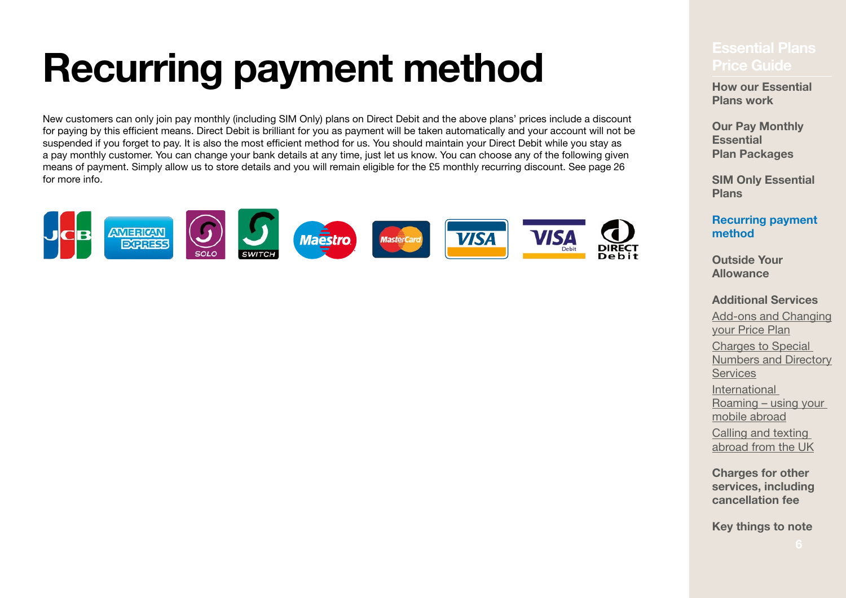# <span id="page-5-0"></span>**[Essential Plans](#page-0-0) Recurring payment method Price Guide**

New customers can only join pay monthly (including SIM Only) plans on Direct Debit and the above plans' prices include a discount for paying by this efficient means. Direct Debit is brilliant for you as payment will be taken automatically and your account will not be suspended if you forget to pay. It is also the most efficient method for us. You should maintain your Direct Debit while you stay as a pay monthly customer. You can change your bank details at any time, just let us know. You can choose any of the following given means of payment. Simply allow us to store details and you will remain eligible for the £5 monthly recurring discount. See [page](#page-25-1) 26 for more info.

<span id="page-5-1"></span>

**How our Essential [Plans work](#page-2-0)**

**Our Pay Monthly Essential Plan Packages**

**[SIM Only Essential](#page-4-0)  [Plans](#page-4-0)**

**[Recurring payment](#page-5-0)  [method](#page-5-0)**

**[Outside Your](#page-6-0)  [Allowance](#page-6-0)**

**[Additional Services](#page-7-0)**

[Add‑ons and Changing](#page-8-0)  [your Price Plan](#page-8-0) Charges to Special [Numbers and Directory](#page-10-0)  **[Services](#page-10-0)** [International](#page-13-0)  Roaming [– using your](#page-13-0)  [mobile abroad](#page-13-0) Calling and texting abroad from the UK

**[Charges for other](#page-19-0)  [services, including](#page-19-0)  [cancellation fee](#page-19-0)**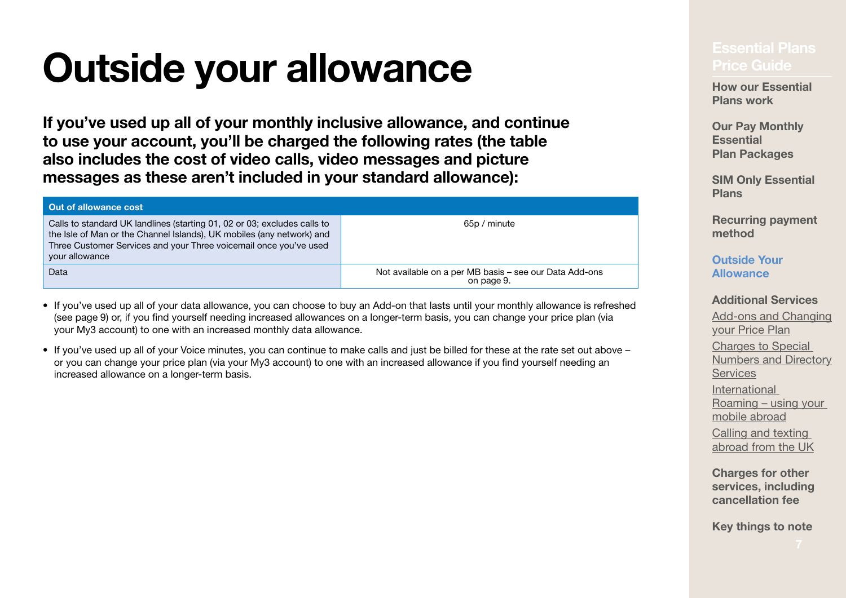# <span id="page-6-0"></span>**Outside your allowance**

**If you've used up all of your monthly inclusive allowance, and continue to use your account, you'll be charged the following rates (the table also includes the cost of video calls, video messages and picture messages as these aren't included in your standard allowance):**

| <b>Out of allowance cost</b>                                                                                                                                                                                                             |                                                                      |
|------------------------------------------------------------------------------------------------------------------------------------------------------------------------------------------------------------------------------------------|----------------------------------------------------------------------|
| Calls to standard UK landlines (starting 01, 02 or 03; excludes calls to<br>the Isle of Man or the Channel Islands), UK mobiles (any network) and<br>Three Customer Services and your Three voicemail once you've used<br>your allowance | 65p / minute                                                         |
| Data                                                                                                                                                                                                                                     | Not available on a per MB basis - see our Data Add-ons<br>on page 9. |

- If you've used up all of your data allowance, you can choose to buy an Add‑on that lasts until your monthly allowance is refreshed (see [page](#page-8-0) 9) or, if you find yourself needing increased allowances on a longer‑term basis, you can change your price plan (via your My3 account) to one with an increased monthly data allowance.
- If you've used up all of your Voice minutes, you can continue to make calls and just be billed for these at the rate set out above or you can change your price plan (via your My3 account) to one with an increased allowance if you find yourself needing an increased allowance on a longer-term basis.

**How our Essential [Plans work](#page-2-0)**

**Our Pay Monthly Essential Plan Packages**

**[SIM Only Essential](#page-4-0)  [Plans](#page-4-0)**

**[Recurring payment](#page-5-0)  [method](#page-5-0)**

### **Outside Your Allowance**

**[Additional Services](#page-7-0)**

[Add‑ons and Changing](#page-8-0)  [your Price Plan](#page-8-0) Charges to Special [Numbers and Directory](#page-10-0)  **[Services](#page-10-0)** [International](#page-13-0)  Roaming [– using your](#page-13-0)  [mobile abroad](#page-13-0) Calling and texting abroad from the UK

**[Charges for other](#page-19-0)  [services, including](#page-19-0)  [cancellation fee](#page-19-0)**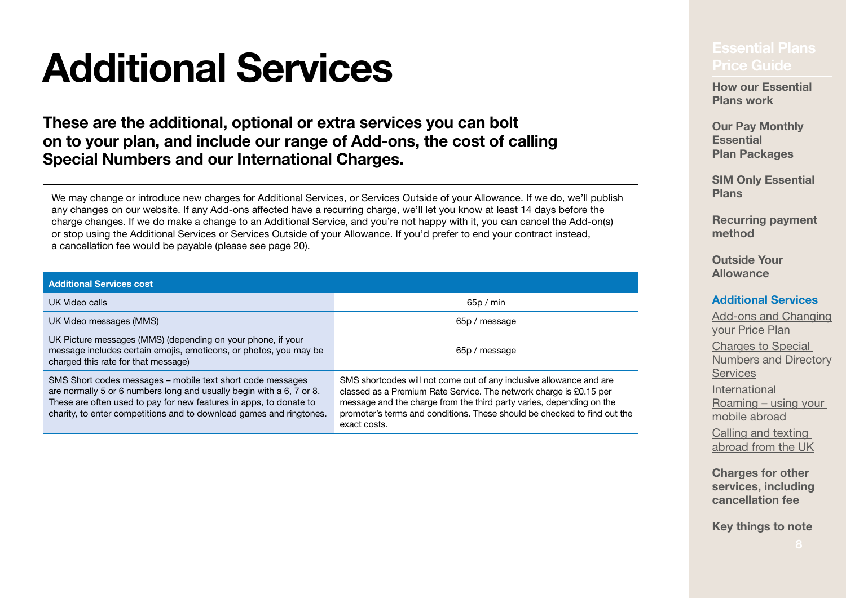# <span id="page-7-0"></span>**[Essential Plans](#page-0-0) Additional Services Price Guide**

### **These are the additional, optional or extra services you can bolt on to your plan, and include our range of Add‑ons, the cost of calling Special Numbers and our International Charges.**

We may change or introduce new charges for Additional Services, or Services Outside of your Allowance. If we do, we'll publish any changes on our website. If any Add-ons affected have a recurring charge, we'll let you know at least 14 days before the charge changes. If we do make a change to an Additional Service, and you're not happy with it, you can cancel the Add-on(s) or stop using the Additional Services or Services Outside of your Allowance. If you'd prefer to end your contract instead, a cancellation fee would be payable (please see [page](#page-19-0) 20).

| <b>Additional Services cost</b>                                                                                                                                                                                                                                                 |                                                                                                                                                                                                                                                                                                               |
|---------------------------------------------------------------------------------------------------------------------------------------------------------------------------------------------------------------------------------------------------------------------------------|---------------------------------------------------------------------------------------------------------------------------------------------------------------------------------------------------------------------------------------------------------------------------------------------------------------|
| UK Video calls                                                                                                                                                                                                                                                                  | 65p/min                                                                                                                                                                                                                                                                                                       |
| UK Video messages (MMS)                                                                                                                                                                                                                                                         | 65p / message                                                                                                                                                                                                                                                                                                 |
| UK Picture messages (MMS) (depending on your phone, if your<br>message includes certain emojis, emoticons, or photos, you may be<br>charged this rate for that message)                                                                                                         | 65p / message                                                                                                                                                                                                                                                                                                 |
| SMS Short codes messages – mobile text short code messages<br>are normally 5 or 6 numbers long and usually begin with a 6, 7 or 8.<br>These are often used to pay for new features in apps, to donate to<br>charity, to enter competitions and to download games and ringtones. | SMS shortcodes will not come out of any inclusive allowance and are<br>classed as a Premium Rate Service. The network charge is £0.15 per<br>message and the charge from the third party varies, depending on the<br>promoter's terms and conditions. These should be checked to find out the<br>exact costs. |

**How our Essential [Plans work](#page-2-0)**

**Our Pay Monthly Essential Plan Packages**

**[SIM Only Essential](#page-4-0)  [Plans](#page-4-0)**

**[Recurring payment](#page-5-0)  [method](#page-5-0)**

**[Outside Your](#page-6-0)  [Allowance](#page-6-0)**

#### **[Additional Services](#page-7-0)**

[Add‑ons and Changing](#page-8-0)  [your Price Plan](#page-8-0) Charges to Special [Numbers and Directory](#page-10-0)  **[Services](#page-10-0)** [International](#page-13-0)  Roaming [– using your](#page-13-0)  [mobile abroad](#page-13-0) Calling and texting abroad from the UK

**[Charges for other](#page-19-0)  [services, including](#page-19-0)  [cancellation fee](#page-19-0)**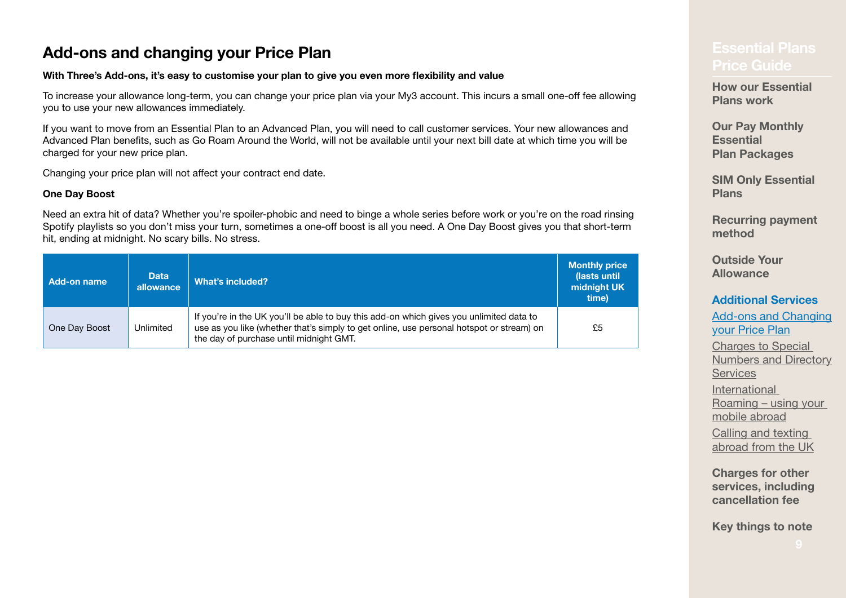## <span id="page-8-0"></span>**[Price Guide](#page-0-0) Add‑ons and changing your Price Plan**

#### **With Three's Add‑ons, it's easy to customise your plan to give you even more flexibility and value**

To increase your allowance long-term, you can change your price plan via your My3 account. This incurs a small one-off fee allowing you to use your new allowances immediately.

If you want to move from an Essential Plan to an Advanced Plan, you will need to call customer services. Your new allowances and Advanced Plan benefits, such as Go Roam Around the World, will not be available until your next bill date at which time you will be charged for your new price plan.

Changing your price plan will not affect your contract end date.

#### **One Day Boost**

Need an extra hit of data? Whether you're spoiler-phobic and need to binge a whole series before work or you're on the road rinsing Spotify playlists so you don't miss your turn, sometimes a one-off boost is all you need. A One Day Boost gives you that short-term hit, ending at midnight. No scary bills. No stress.

| Add-on name   | <b>Data</b><br>allowance | What's included?                                                                                                                                                                                                               | <b>Monthly price</b><br>(lasts until<br>midnight UK<br>time) |
|---------------|--------------------------|--------------------------------------------------------------------------------------------------------------------------------------------------------------------------------------------------------------------------------|--------------------------------------------------------------|
| One Day Boost | Unlimited                | If you're in the UK you'll be able to buy this add-on which gives you unlimited data to<br>use as you like (whether that's simply to get online, use personal hotspot or stream) on<br>the day of purchase until midnight GMT. | £5                                                           |

**[How our Essential](#page-2-0)  [Plans work](#page-2-0)**

**Our Pay Monthly Essential Plan Packages**

**[SIM Only Essential](#page-4-0)  [Plans](#page-4-0)**

**[Recurring payment](#page-5-0)  [method](#page-5-0)**

**[Outside Your](#page-6-0)  [Allowance](#page-6-0)**

#### **[Additional Services](#page-7-0)**

Add-ons and Changing [your Price Plan](#page-8-0) Charges to Special

[Numbers and Directory](#page-10-0)  **[Services](#page-10-0)** [International](#page-13-0)  Roaming [– using your](#page-13-0)  [mobile abroad](#page-13-0)

Calling and texting abroad from the UK

**[Charges for other](#page-19-0)  [services, including](#page-19-0)  [cancellation fee](#page-19-0)**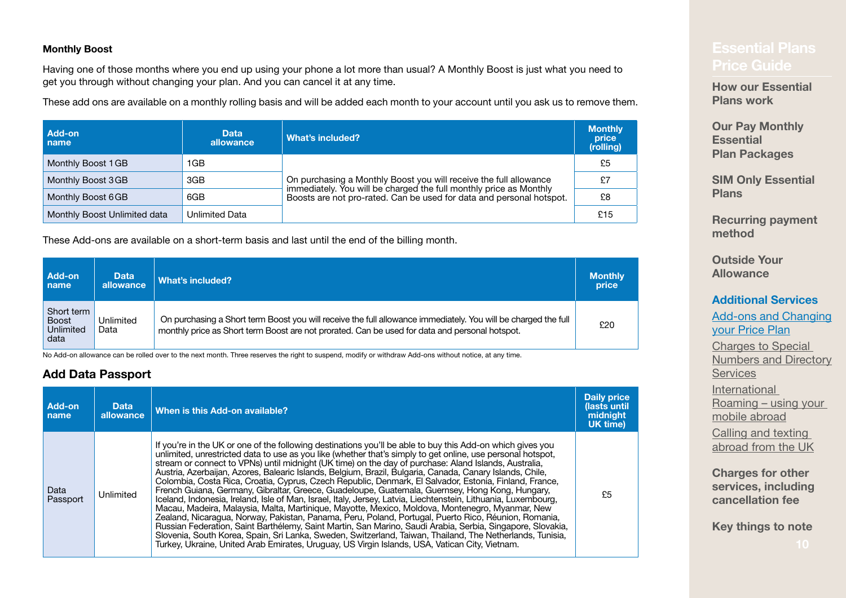#### **Monthly Boost**

Having one of those months where you end up using your phone a lot more than usual? A Monthly Boost is just what you need to get you through without changing your plan. And you can cancel it at any time.

These add ons are available on a monthly rolling basis and will be added each month to your account until you ask us to remove them.

| Add-on<br>l name             | <b>Data</b><br>allowance | What's included?                                                                                                                           | <b>Monthly</b><br>price<br>(rolling) |
|------------------------------|--------------------------|--------------------------------------------------------------------------------------------------------------------------------------------|--------------------------------------|
| Monthly Boost 1 GB           | <b>GB</b>                |                                                                                                                                            | £5                                   |
| Monthly Boost 3GB            | 3GB                      | On purchasing a Monthly Boost you will receive the full allowance                                                                          | £7                                   |
| Monthly Boost 6GB            | 6GB                      | immediately. You will be charged the full monthly price as Monthly<br>Boosts are not pro-rated. Can be used for data and personal hotspot. | £8                                   |
| Monthly Boost Unlimited data | Unlimited Data           |                                                                                                                                            | £15                                  |

These Add-ons are available on a short-term basis and last until the end of the billing month.

| Add-on                                          | <b>Data</b>       | What's included?                                                                                                                                                                                                 | <b>Monthly</b> |
|-------------------------------------------------|-------------------|------------------------------------------------------------------------------------------------------------------------------------------------------------------------------------------------------------------|----------------|
| name                                            | allowance         |                                                                                                                                                                                                                  | price          |
| Short term<br><b>Boost</b><br>Unlimited<br>data | Unlimited<br>Data | On purchasing a Short term Boost you will receive the full allowance immediately. You will be charged the full<br>monthly price as Short term Boost are not prorated. Can be used for data and personal hotspot. | £20            |

No Add-on allowance can be rolled over to the next month. Three reserves the right to suspend, modify or withdraw Add-ons without notice, at any time.

#### <span id="page-9-0"></span>**Add Data Passport**

| Add-on<br>name   | <b>Data</b><br>allowance | When is this Add-on available?                                                                                                                                                                                                                                                                                                                                                                                                                                                                                                                                                                                                                                                                                                                                                                                                                                                                                                                                                                                                                                                                                                                                                                                                                                                                                        | Daily price<br>(lasts until<br>midnight<br><b>UK timel</b> |
|------------------|--------------------------|-----------------------------------------------------------------------------------------------------------------------------------------------------------------------------------------------------------------------------------------------------------------------------------------------------------------------------------------------------------------------------------------------------------------------------------------------------------------------------------------------------------------------------------------------------------------------------------------------------------------------------------------------------------------------------------------------------------------------------------------------------------------------------------------------------------------------------------------------------------------------------------------------------------------------------------------------------------------------------------------------------------------------------------------------------------------------------------------------------------------------------------------------------------------------------------------------------------------------------------------------------------------------------------------------------------------------|------------------------------------------------------------|
| Data<br>Passport | Unlimited                | If you're in the UK or one of the following destinations you'll be able to buy this Add-on which gives you<br>unlimited, unrestricted data to use as you like (whether that's simply to get online, use personal hotspot,<br>stream or connect to VPNs) until midnight (UK time) on the day of purchase: Aland Islands, Australia,<br>Austria, Azerbaijan, Azores, Balearic Islands, Belgium, Brazil, Bulgaria, Canada, Canary Islands, Chile,<br>Colombia, Costa Rica, Croatia, Cyprus, Czech Republic, Denmark, El Salvador, Estonia, Finland, France,<br>French Guiana, Germany, Gibraltar, Greece, Guadeloupe, Guatemala, Guernsey, Hong Kong, Hungary,<br>Iceland, Indonesia, Ireland, Isle of Man, Israel, Italy, Jersey, Latvia, Liechtenstein, Lithuania, Luxembourg,<br>Macau, Madeira, Malaysia, Malta, Martinique, Mayotte, Mexico, Moldova, Montenegro, Myanmar, New<br>Zealand, Nicaragua, Norway, Pakistan, Panama, Peru, Poland, Portugal, Puerto Rico, Réunion, Romania,<br>Russian Federation, Saint Barthélemy, Saint Martin, San Marino, Saudi Arabia, Serbia, Singapore, Slovakia,<br>Slovenia, South Korea, Spain, Sri Lanka, Sweden, Switzerland, Taiwan, Thailand, The Netherlands, Tunisia,<br>Turkey, Ukraine, United Arab Emirates, Uruguay, US Virgin Islands, USA, Vatican City, Vietnam. | £5                                                         |

## **[Price Guide](#page-0-0)**

**[How our Essential](#page-2-0)  [Plans work](#page-2-0)**

**Our Pay Monthly Essential Plan Packages**

**[SIM Only Essential](#page-4-0)  [Plans](#page-4-0)**

**[Recurring payment](#page-5-0)  [method](#page-5-0)**

**[Outside Your](#page-6-0)  [Allowance](#page-6-0)**

#### **[Additional Services](#page-7-0)**

**Add-ons and Changing** [your Price Plan](#page-8-0)

Charges to Special [Numbers and Directory](#page-10-0)  **[Services](#page-10-0)** [International](#page-13-0)  Roaming [– using your](#page-13-0)  [mobile abroad](#page-13-0)

Calling and texting abroad from the UK

**[Charges for other](#page-19-0)  [services, including](#page-19-0)  [cancellation fee](#page-19-0)**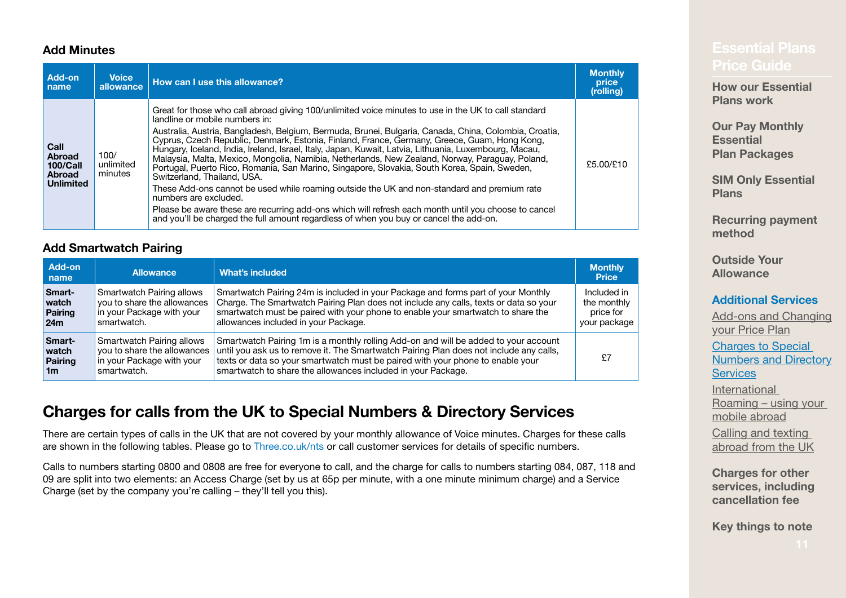#### <span id="page-10-1"></span>**Add Minutes**

| Add-on<br>name                                                         | <b>Voice</b><br>allowance    | How can I use this allowance?                                                                                                                                                                                                                                                                                                                                                                                                                                                                                                                                                                                                                                                                                                                                                                                                                                                                                                                                                                                        | <b>Monthly</b><br>price<br>(rolling) |
|------------------------------------------------------------------------|------------------------------|----------------------------------------------------------------------------------------------------------------------------------------------------------------------------------------------------------------------------------------------------------------------------------------------------------------------------------------------------------------------------------------------------------------------------------------------------------------------------------------------------------------------------------------------------------------------------------------------------------------------------------------------------------------------------------------------------------------------------------------------------------------------------------------------------------------------------------------------------------------------------------------------------------------------------------------------------------------------------------------------------------------------|--------------------------------------|
| Call<br><b>Abroad</b><br>100/Call<br><b>Abroad</b><br><b>Unlimited</b> | 100/<br>unlimited<br>minutes | Great for those who call abroad giving 100/unlimited voice minutes to use in the UK to call standard<br>landline or mobile numbers in:<br>Australia, Austria, Bangladesh, Belgium, Bermuda, Brunei, Bulgaria, Canada, China, Colombia, Croatia,<br>Cyprus, Czech Republic, Denmark, Estonia, Finland, France, Germany, Greece, Guam, Hong Kong,<br>Hungary, Iceland, İndia, İreland, İsrael, İtaly, Japan, Kuwait, Latvia, Lithuania, Luxembourg, Macau,<br>Malaysia, Malta, Mexico, Mongolia, Namibia, Netherlands, New Zealand, Norway, Paraguay, Poland,<br>Portugal, Puerto Rico, Romania, San Marino, Singapore, Slovakia, South Korea, Spain, Sweden,<br>Switzerland, Thailand, USA.<br>These Add-ons cannot be used while roaming outside the UK and non-standard and premium rate<br>numbers are excluded.<br>Please be aware these are recurring add-ons which will refresh each month until you choose to cancel<br>and you'll be charged the full amount regardless of when you buy or cancel the add-on. | £5.00/£10                            |

#### **Add Smartwatch Pairing**

| Add-on<br>name | <b>Allowance</b>                 | What's included                                                                        | <b>Monthly</b><br><b>Price</b> |
|----------------|----------------------------------|----------------------------------------------------------------------------------------|--------------------------------|
| Smart-         | Smartwatch Pairing allows        | Smartwatch Pairing 24m is included in your Package and forms part of your Monthly      | Included in                    |
| watch          | you to share the allowances      | Charge. The Smartwatch Pairing Plan does not include any calls, texts or data so your  | the monthly                    |
| Pairing        | in your Package with your        | smartwatch must be paired with your phone to enable your smartwatch to share the       | price for                      |
| ∣24m           | smartwatch.                      | allowances included in your Package.                                                   | your package                   |
| <b>Smart-</b>  | <b>Smartwatch Pairing allows</b> | Smartwatch Pairing 1m is a monthly rolling Add-on and will be added to your account    | £7                             |
| watch          | you to share the allowances      | until you ask us to remove it. The Smartwatch Pairing Plan does not include any calls, |                                |
| Pairing        | in your Package with your        | texts or data so your smartwatch must be paired with your phone to enable your         |                                |
| 1m             | smartwatch.                      | smartwatch to share the allowances included in your Package.                           |                                |

## <span id="page-10-0"></span>**Charges for calls from the UK to Special Numbers & Directory Services**

There are certain types of calls in the UK that are not covered by your monthly allowance of Voice minutes. Charges for these calls are shown in the following tables. Please go to [Three.co.uk/nts](http://Three.co.uk/nts) or call customer services for details of specific numbers.

Calls to numbers starting 0800 and 0808 are free for everyone to call, and the charge for calls to numbers starting 084, 087, 118 and 09 are split into two elements: an Access Charge (set by us at 65p per minute, with a one minute minimum charge) and a Service Charge (set by the company you're calling – they'll tell you this).

**[How our Essential](#page-2-0)  [Plans work](#page-2-0)**

**Our Pay Monthly Essential Plan Packages**

**[SIM Only Essential](#page-4-0)  [Plans](#page-4-0)**

**[Recurring payment](#page-5-0)  [method](#page-5-0)**

**[Outside Your](#page-6-0)  [Allowance](#page-6-0)**

#### **[Additional Services](#page-7-0)**

Add-ons and Changing [your Price Plan](#page-8-0) Charges to Special [Numbers and Directory](#page-10-0)  **[Services](#page-10-0)** [International](#page-13-0)  Roaming [– using your](#page-13-0)  [mobile abroad](#page-13-0) Calling and texting abroad from the UK

**[Charges for other](#page-19-0)** 

**[services, including](#page-19-0)  [cancellation fee](#page-19-0)**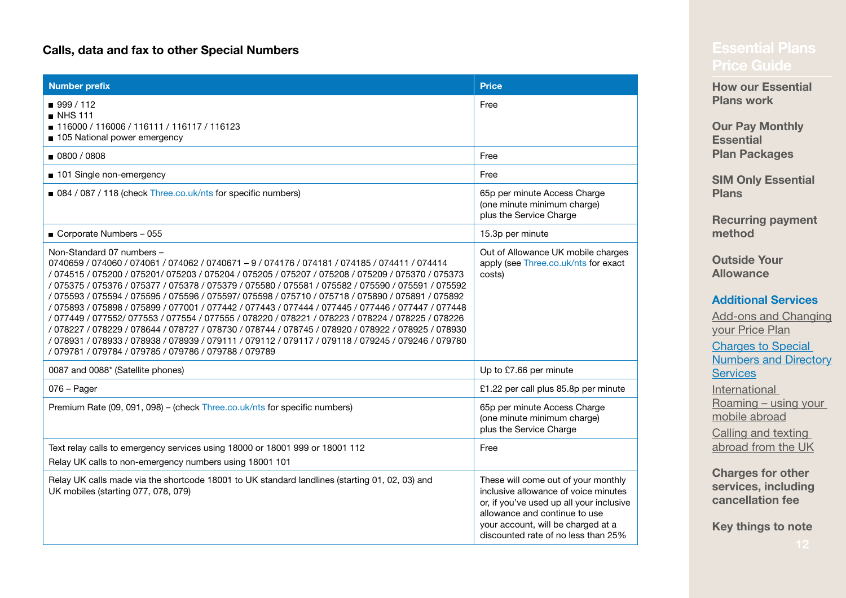#### **Calls, data and fax to other Special Numbers**

| <b>Number prefix</b>                                                                                                                                                                                                                                                                                                                                                                                                                                                                                                                                                                                                                                                                                                                                                                                                                                                                                                        | <b>Price</b>                                                                                                                                                                                                                          |
|-----------------------------------------------------------------------------------------------------------------------------------------------------------------------------------------------------------------------------------------------------------------------------------------------------------------------------------------------------------------------------------------------------------------------------------------------------------------------------------------------------------------------------------------------------------------------------------------------------------------------------------------------------------------------------------------------------------------------------------------------------------------------------------------------------------------------------------------------------------------------------------------------------------------------------|---------------------------------------------------------------------------------------------------------------------------------------------------------------------------------------------------------------------------------------|
| ■ 999 / 112<br>$\blacksquare$ NHS 111<br>■ 116000 / 116006 / 116111 / 116117 / 116123<br>105 National power emergency                                                                                                                                                                                                                                                                                                                                                                                                                                                                                                                                                                                                                                                                                                                                                                                                       | Free                                                                                                                                                                                                                                  |
| 0800 / 0808                                                                                                                                                                                                                                                                                                                                                                                                                                                                                                                                                                                                                                                                                                                                                                                                                                                                                                                 | Free                                                                                                                                                                                                                                  |
| 101 Single non-emergency                                                                                                                                                                                                                                                                                                                                                                                                                                                                                                                                                                                                                                                                                                                                                                                                                                                                                                    | Free                                                                                                                                                                                                                                  |
| 084 / 087 / 118 (check Three.co.uk/nts for specific numbers)                                                                                                                                                                                                                                                                                                                                                                                                                                                                                                                                                                                                                                                                                                                                                                                                                                                                | 65p per minute Access Charge<br>(one minute minimum charge)<br>plus the Service Charge                                                                                                                                                |
| Corporate Numbers - 055                                                                                                                                                                                                                                                                                                                                                                                                                                                                                                                                                                                                                                                                                                                                                                                                                                                                                                     | 15.3p per minute                                                                                                                                                                                                                      |
| Non-Standard 07 numbers -<br>0740659 / 074060 / 074061 / 074062 / 0740671 - 9 / 074176 / 074181 / 074185 / 074411 / 074414<br>/ 074515 / 075200 / 075201/ 075203 / 075204 / 075205 / 075207 / 075208 / 075209 / 075370 / 075373<br>/ 075375 / 075376 / 075377 / 075378 / 075379 / 075580 / 075581 / 075582 / 075590 / 075591 / 075592<br>/ 075593 / 075594 / 075595 / 075596 / 075597 / 075598 / 075710 / 075718 / 075890 / 075891 / 075892<br>/ 075893 / 075898 / 075899 / 077001 / 077442 / 077443 / 077444 / 077445 / 077446 / 077447 / 077448<br>/ 077449 / 077552/ 077553 / 077554 / 077555 / 078220 / 078221 / 078223 / 078224 / 078225 / 078226<br>/ 078227 / 078229 / 078644 / 078727 / 078730 / 078744 / 078745 / 078920 / 078922 / 078925 / 078930<br>/ 078931 / 078933 / 078938 / 078939 / 079111 / 079112 / 079117 / 079118 / 079245 / 079246 / 079780<br>/ 079781 / 079784 / 079785 / 079786 / 079788 / 079789 | Out of Allowance UK mobile charges<br>apply (see Three.co.uk/nts for exact<br>costs)                                                                                                                                                  |
| 0087 and 0088* (Satellite phones)                                                                                                                                                                                                                                                                                                                                                                                                                                                                                                                                                                                                                                                                                                                                                                                                                                                                                           | Up to £7.66 per minute                                                                                                                                                                                                                |
| $076 - Page$                                                                                                                                                                                                                                                                                                                                                                                                                                                                                                                                                                                                                                                                                                                                                                                                                                                                                                                | £1.22 per call plus 85.8p per minute                                                                                                                                                                                                  |
| Premium Rate (09, 091, 098) - (check Three.co.uk/nts for specific numbers)                                                                                                                                                                                                                                                                                                                                                                                                                                                                                                                                                                                                                                                                                                                                                                                                                                                  | 65p per minute Access Charge<br>(one minute minimum charge)<br>plus the Service Charge                                                                                                                                                |
| Text relay calls to emergency services using 18000 or 18001 999 or 18001 112<br>Relay UK calls to non-emergency numbers using 18001 101                                                                                                                                                                                                                                                                                                                                                                                                                                                                                                                                                                                                                                                                                                                                                                                     | Free                                                                                                                                                                                                                                  |
| Relay UK calls made via the shortcode 18001 to UK standard landlines (starting 01, 02, 03) and<br>UK mobiles (starting 077, 078, 079)                                                                                                                                                                                                                                                                                                                                                                                                                                                                                                                                                                                                                                                                                                                                                                                       | These will come out of your monthly<br>inclusive allowance of voice minutes<br>or, if you've used up all your inclusive<br>allowance and continue to use<br>your account, will be charged at a<br>discounted rate of no less than 25% |

**[How our Essential](#page-2-0)  [Plans work](#page-2-0)**

**Our Pay Monthly Essential Plan Packages**

**[SIM Only Essential](#page-4-0)  [Plans](#page-4-0)**

**[Recurring payment](#page-5-0)  [method](#page-5-0)**

**[Outside Your](#page-6-0)  [Allowance](#page-6-0)**

#### **[Additional Services](#page-7-0)**

Add-ons and Changing [your Price Plan](#page-8-0) [Charges to Special](#page-10-0)  [Numbers and Directory](#page-10-0)  **[Services](#page-10-0)** [International](#page-13-0)  Roaming [– using your](#page-13-0)  [mobile abroad](#page-13-0) Calling and texting abroad from the UK

**[Charges for other](#page-19-0)  [services, including](#page-19-0)  [cancellation fee](#page-19-0)**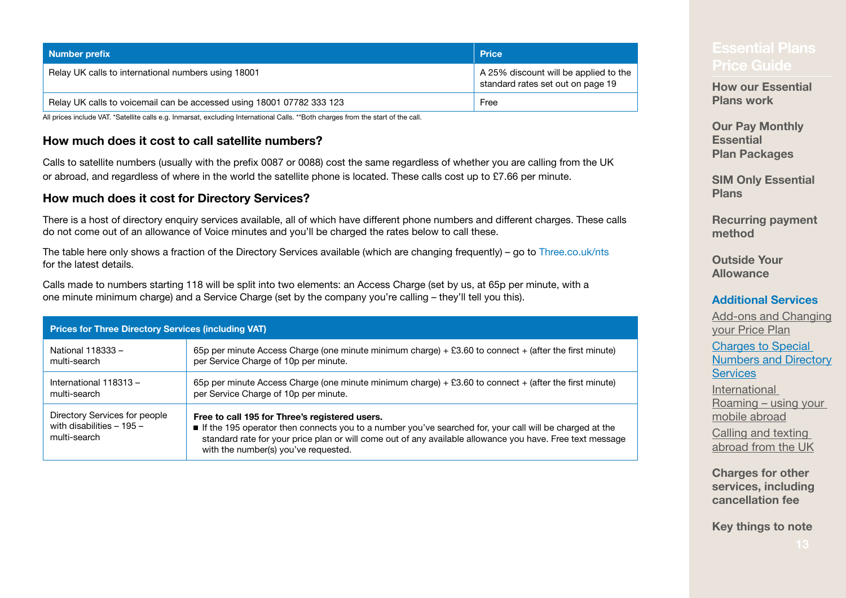| Number prefix                                                         | <b>Price</b>                                                               |
|-----------------------------------------------------------------------|----------------------------------------------------------------------------|
| Relay UK calls to international numbers using 18001                   | A 25% discount will be applied to the<br>standard rates set out on page 19 |
| Relay UK calls to voicemail can be accessed using 18001 07782 333 123 | Free                                                                       |

All prices include VAT. \*Satellite calls e.g. Inmarsat, excluding International Calls. \*\*Both charges from the start of the call.

#### **How much does it cost to call satellite numbers?**

Calls to satellite numbers (usually with the prefix 0087 or 0088) cost the same regardless of whether you are calling from the UK or abroad, and regardless of where in the world the satellite phone is located. These calls cost up to  $£7.66$  per minute.

#### **How much does it cost for Directory Services?**

There is a host of directory enquiry services available, all of which have different phone numbers and different charges. These calls do not come out of an allowance of Voice minutes and you'll be charged the rates below to call these.

The table here only shows a fraction of the Directory Services available (which are changing frequently) – go to [Three.co.uk/nts](http://Three.co.uk/nts) for the latest details.

Calls made to numbers starting 118 will be split into two elements: an Access Charge (set by us, at 65p per minute, with a one minute minimum charge) and a Service Charge (set by the company you're calling – they'll tell you this).

| <b>Prices for Three Directory Services (including VAT)</b>                 |                                                                                                                                                                                                                                                                                                                |  |  |
|----------------------------------------------------------------------------|----------------------------------------------------------------------------------------------------------------------------------------------------------------------------------------------------------------------------------------------------------------------------------------------------------------|--|--|
| National 118333 -                                                          | 65p per minute Access Charge (one minute minimum charge) $+$ £3.60 to connect $+$ (after the first minute)                                                                                                                                                                                                     |  |  |
| multi-search                                                               | per Service Charge of 10p per minute.                                                                                                                                                                                                                                                                          |  |  |
| International 118313 -                                                     | 65p per minute Access Charge (one minute minimum charge) $+$ £3.60 to connect $+$ (after the first minute)                                                                                                                                                                                                     |  |  |
| multi-search                                                               | per Service Charge of 10p per minute.                                                                                                                                                                                                                                                                          |  |  |
| Directory Services for people<br>with disabilities $-195-$<br>multi-search | Free to call 195 for Three's registered users.<br>If the 195 operator then connects you to a number you've searched for, your call will be charged at the<br>standard rate for your price plan or will come out of any available allowance you have. Free text message<br>with the number(s) you've requested. |  |  |

**[How our Essential](#page-2-0)  [Plans work](#page-2-0)**

**Our Pay Monthly Essential Plan Packages**

**[SIM Only Essential](#page-4-0)  [Plans](#page-4-0)**

**[Recurring payment](#page-5-0)  [method](#page-5-0)**

**[Outside Your](#page-6-0)  [Allowance](#page-6-0)**

#### **[Additional Services](#page-7-0)**

[Add‑ons and Changing](#page-8-0)  [your Price Plan](#page-8-0) Charges to Special [Numbers and Directory](#page-10-0)  **[Services](#page-10-0)** [International](#page-13-0)  Roaming [– using your](#page-13-0)  [mobile abroad](#page-13-0)

Calling and texting abroad from the UK

**[Charges for other](#page-19-0)  [services, including](#page-19-0)  [cancellation fee](#page-19-0)**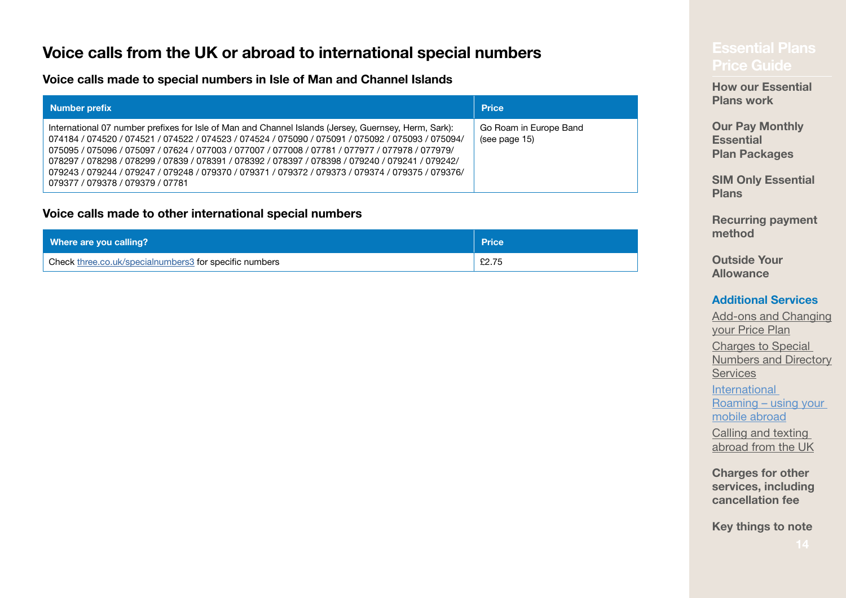## <span id="page-13-0"></span>**Price calls from the UK or abroad to international special numbers example 1998 and 1998 voice Guide**<br>[Price Guide](#page-0-0)

**Voice calls made to special numbers in Isle of Man and Channel Islands**

| Number prefix                                                                                                                                                                                                                                                                                                                                                                                                                                                                                                                                           | <b>Price</b>                            |
|---------------------------------------------------------------------------------------------------------------------------------------------------------------------------------------------------------------------------------------------------------------------------------------------------------------------------------------------------------------------------------------------------------------------------------------------------------------------------------------------------------------------------------------------------------|-----------------------------------------|
| International 07 number prefixes for Isle of Man and Channel Islands (Jersey, Guernsey, Herm, Sark):<br>074184 / 074520 / 074521 / 074522 / 074523 / 074524 / 075090 / 075091 / 075092 / 075093 / 075094/<br>075095 / 075096 / 075097 / 07624 / 077003 / 077007 / 077008 / 07781 / 077977 / 077978 / 077979<br>078297 / 078298 / 078299 / 07839 / 078391 / 078392 / 078397 / 078398 / 079240 / 079241 / 079242/<br>079375 / 079244 / 079247 / 079248 / 079370 / 079371 / 079372 / 079373 / 079374 / 079375 / 079376<br>079377 / 079378 / 079379 / 07781 | Go Roam in Europe Band<br>(see page 15) |

#### **Voice calls made to other international special numbers**

| Where are you calling?                                 | <b>Price</b> |
|--------------------------------------------------------|--------------|
| Check three.co.uk/specialnumbers3 for specific numbers | £2.75        |

**[How our Essential](#page-2-0)  [Plans work](#page-2-0)**

**Our Pay Monthly Essential Plan Packages**

**[SIM Only Essential](#page-4-0)  [Plans](#page-4-0)**

**[Recurring payment](#page-5-0)  [method](#page-5-0)**

**[Outside Your](#page-6-0)  [Allowance](#page-6-0)**

#### **[Additional Services](#page-7-0)**

Add-ons and Changing [your Price Plan](#page-8-0) [Charges to Special](#page-10-0)  [Numbers and Directory](#page-10-0)  **[Services](#page-10-0)** International Roaming – using your mobile abroad Calling and texting

abroad from the UK

**[Charges for other](#page-19-0)  [services, including](#page-19-0)  [cancellation fee](#page-19-0)**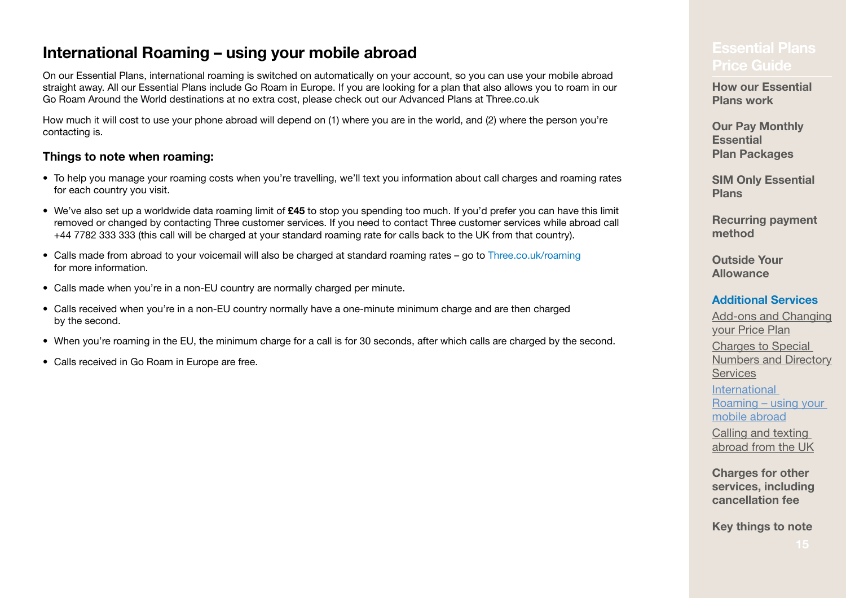## **[Price Guide](#page-0-0) International Roaming – using your mobile abroad<br>Price Guide**

On our Essential Plans, international roaming is switched on automatically on your account, so you can use your mobile abroad straight away. All our Essential Plans include Go Roam in Europe. If you are looking for a plan that also allows you to roam in our Go Roam Around the World destinations at no extra cost, please check out our Advanced Plans at [Three.co.uk](http://Three.co.uk)

How much it will cost to use your phone abroad will depend on (1) where you are in the world, and (2) where the person you're contacting is.

#### **Things to note when roaming:**

- To help you manage your roaming costs when you're travelling, we'll text you information about call charges and roaming rates for each country you visit.
- We've also set up a worldwide data roaming limit of **£45** to stop you spending too much. If you'd prefer you can have this limit removed or changed by contacting Three customer services. If you need to contact Three customer services while abroad call +44 7782 333 333 (this call will be charged at your standard roaming rate for calls back to the UK from that country).
- Calls made from abroad to your voicemail will also be charged at standard roaming rates go to [Three.co.uk/roaming](http://Three.co.uk/roaming) for more information.
- Calls made when you're in a non-EU country are normally charged per minute.
- Calls received when you're in a non‑EU country normally have a one‑minute minimum charge and are then charged by the second.
- When you're roaming in the EU, the minimum charge for a call is for 30 seconds, after which calls are charged by the second.
- Calls received in Go Roam in Europe are free.

**[How our Essential](#page-2-0)  [Plans work](#page-2-0)**

**Our Pay Monthly Essential Plan Packages**

**[SIM Only Essential](#page-4-0)  [Plans](#page-4-0)**

**[Recurring payment](#page-5-0)  [method](#page-5-0)**

**[Outside Your](#page-6-0)  [Allowance](#page-6-0)**

#### **[Additional Services](#page-7-0)**

Add-ons and Changing [your Price Plan](#page-8-0) Charges to Special [Numbers and Directory](#page-10-0)  **[Services](#page-10-0) International** Roaming [– using your](#page-13-0)  [mobile abroad](#page-13-0) Calling and texting abroad from the UK

**[Charges for other](#page-19-0)  [services, including](#page-19-0)  [cancellation fee](#page-19-0)**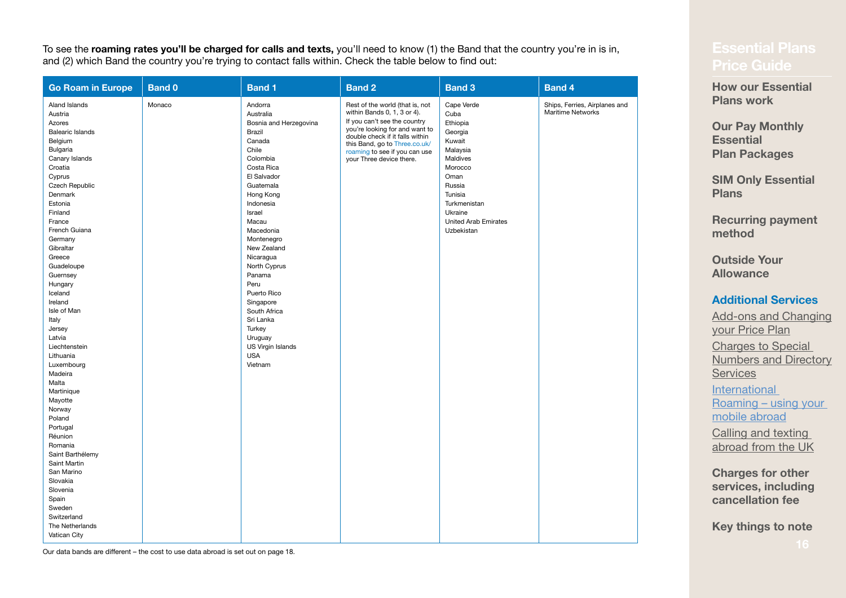To see the **roaming rates you'll be charged for calls and texts,** you'll need to know (1) the Band that the country you're in is in, and (2) which Band the country you're trying to contact falls within. Check the table below to find out:

| <b>Go Roam in Europe</b>                                                                                                                                                                                                                                                                                                                                                                                                                                                                                              | <b>Band 0</b> | <b>Band 1</b>                                                                                                                                                                                                                                                                                                                                                                                       | <b>Band 2</b>                                                                                                                                                                                                                                                     | <b>Band 3</b>                                                                                                                                                                               | <b>Band 4</b>                                             |
|-----------------------------------------------------------------------------------------------------------------------------------------------------------------------------------------------------------------------------------------------------------------------------------------------------------------------------------------------------------------------------------------------------------------------------------------------------------------------------------------------------------------------|---------------|-----------------------------------------------------------------------------------------------------------------------------------------------------------------------------------------------------------------------------------------------------------------------------------------------------------------------------------------------------------------------------------------------------|-------------------------------------------------------------------------------------------------------------------------------------------------------------------------------------------------------------------------------------------------------------------|---------------------------------------------------------------------------------------------------------------------------------------------------------------------------------------------|-----------------------------------------------------------|
| Aland Islands<br>Austria<br>Azores<br><b>Balearic Islands</b><br>Belgium<br>Bulgaria<br>Canary Islands<br>Croatia<br>Cyprus<br>Czech Republic<br>Denmark<br>Estonia<br>Finland<br>France<br>French Guiana<br>Germany<br>Gibraltar<br>Greece<br>Guadeloupe<br>Guernsey<br>Hungary<br>Iceland<br>Ireland<br>Isle of Man<br>Italy<br>Jersey<br>Latvia<br>Liechtenstein<br>Lithuania<br>Luxembourg<br>Madeira<br>Malta<br>Martinique<br>Mayotte<br>Norway<br>Poland<br>Portugal<br>Réunion<br>Romania<br>Saint Barthélemy | Monaco        | Andorra<br>Australia<br>Bosnia and Herzegovina<br>Brazil<br>Canada<br>Chile<br>Colombia<br>Costa Rica<br>El Salvador<br>Guatemala<br>Hong Kong<br>Indonesia<br>Israel<br>Macau<br>Macedonia<br>Montenegro<br>New Zealand<br>Nicaragua<br>North Cyprus<br>Panama<br>Peru<br>Puerto Rico<br>Singapore<br>South Africa<br>Sri Lanka<br>Turkey<br>Uruguay<br>US Virgin Islands<br><b>USA</b><br>Vietnam | Rest of the world (that is, not<br>within Bands 0, 1, 3 or 4).<br>If you can't see the country<br>you're looking for and want to<br>double check if it falls within<br>this Band, go to Three.co.uk/<br>roaming to see if you can use<br>your Three device there. | Cape Verde<br>Cuba<br>Ethiopia<br>Georgia<br>Kuwait<br>Malaysia<br>Maldives<br>Morocco<br>Oman<br>Russia<br>Tunisia<br>Turkmenistan<br>Ukraine<br><b>United Arab Emirates</b><br>Uzbekistan | Ships, Ferries, Airplanes and<br><b>Maritime Networks</b> |
| Saint Martin<br>San Marino<br>Slovakia<br>Slovenia<br>Spain                                                                                                                                                                                                                                                                                                                                                                                                                                                           |               |                                                                                                                                                                                                                                                                                                                                                                                                     |                                                                                                                                                                                                                                                                   |                                                                                                                                                                                             |                                                           |
| Sweden<br>Switzerland<br>The Netherlands<br>Vatican City                                                                                                                                                                                                                                                                                                                                                                                                                                                              |               |                                                                                                                                                                                                                                                                                                                                                                                                     |                                                                                                                                                                                                                                                                   |                                                                                                                                                                                             |                                                           |

## **[Price Guide](#page-0-0)**

**[How our Essential](#page-2-0)  [Plans work](#page-2-0)**

**Our Pay Monthly Essential Plan Packages**

**[SIM Only Essential](#page-4-0)  [Plans](#page-4-0)**

**[Recurring payment](#page-5-0)  [method](#page-5-0)**

**[Outside Your](#page-6-0)  [Allowance](#page-6-0)**

#### **[Additional Services](#page-7-0)**

Add-ons and Changing [your Price Plan](#page-8-0) [Charges to Special](#page-10-0)  [Numbers and Directory](#page-10-0)  **[Services](#page-10-0)** [International](#page-13-0)  Roaming [– using your](#page-13-0)  [mobile abroad](#page-13-0) Calling and texting

abroad from the UK

**[Charges for other](#page-19-0)  [services, including](#page-19-0)  [cancellation fee](#page-19-0)**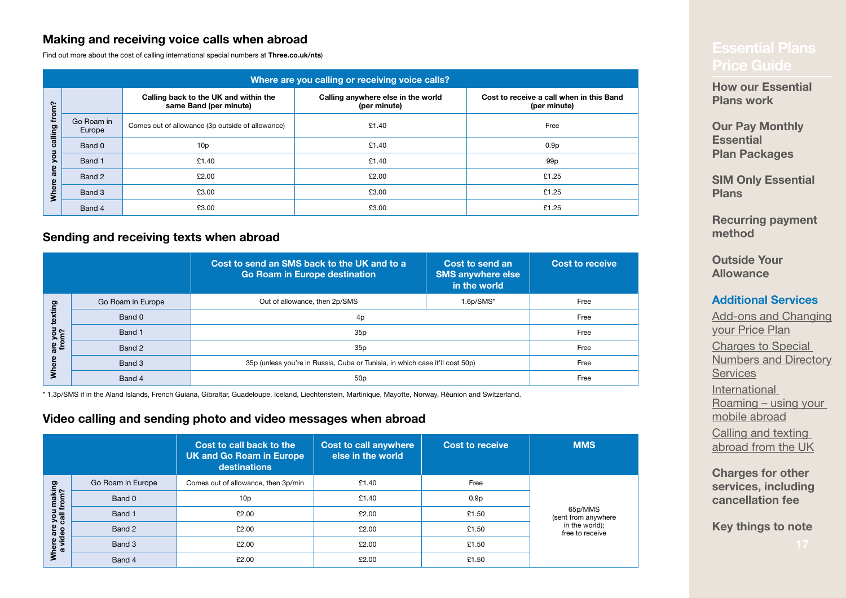### **Making and receiving voice calls when abroad**

Find out more about the cost of calling international special numbers at **Three.co.uk/nts**)

| Where are you calling or receiving voice calls? |                      |                                                                 |                                                    |                                                          |  |  |
|-------------------------------------------------|----------------------|-----------------------------------------------------------------|----------------------------------------------------|----------------------------------------------------------|--|--|
| from?                                           |                      | Calling back to the UK and within the<br>same Band (per minute) | Calling anywhere else in the world<br>(per minute) | Cost to receive a call when in this Band<br>(per minute) |  |  |
| alling                                          | Go Roam in<br>Europe | Comes out of allowance (3p outside of allowance)                | £1.40                                              | Free                                                     |  |  |
| ö<br>э                                          | Band 0               | 10p                                                             | £1.40                                              | 0.9 <sub>p</sub>                                         |  |  |
| ٥                                               | Band 1               | £1.40                                                           | £1.40                                              | 99 <sub>p</sub>                                          |  |  |
| ၑ<br>$\boldsymbol{\omega}$<br>ၜႍ                | Band 2               | £2.00                                                           | £2.00                                              | £1.25                                                    |  |  |
| Whe                                             | Band 3               | £3.00                                                           | £3.00                                              | £1.25                                                    |  |  |
|                                                 | Band 4               | £3.00                                                           | £3.00                                              | £1.25                                                    |  |  |

#### **Sending and receiving texts when abroad**

|                  |                   | Cost to send an SMS back to the UK and to a<br>Go Roam in Europe destination | Cost to send an<br><b>SMS anywhere else</b><br>in the world | <b>Cost to receive</b> |
|------------------|-------------------|------------------------------------------------------------------------------|-------------------------------------------------------------|------------------------|
| ഊ                | Go Roam in Europe | Out of allowance, then 2p/SMS                                                | 1.6p/SMS*                                                   | Free                   |
|                  | Band 0            | 4p                                                                           |                                                             | Free                   |
| ire you<br>from? | Band 1            | 35p                                                                          |                                                             | Free                   |
|                  | Band 2            | 35p                                                                          |                                                             | Free                   |
|                  | Band 3            | 35p (unless you're in Russia, Cuba or Tunisia, in which case it'll cost 50p) |                                                             | Free                   |
|                  | Band 4            | 50 <sub>p</sub>                                                              |                                                             | Free                   |

\* 1.3p/SMS if in the Aland Islands, French Guiana, Gibraltar, Guadeloupe, Iceland, Liechtenstein, Martinique, Mayotte, Norway, Réunion and Switzerland.

#### **Video calling and sending photo and video messages when abroad**

|                                                    |                   | Cost to call back to the<br><b>UK and Go Roam in Europe</b><br>destinations | <b>Cost to call anywhere</b><br>else in the world | <b>Cost to receive</b> | <b>MMS</b>                                                          |
|----------------------------------------------------|-------------------|-----------------------------------------------------------------------------|---------------------------------------------------|------------------------|---------------------------------------------------------------------|
|                                                    | Go Roam in Europe | Comes out of allowance, then 3p/min                                         | £1.40                                             | Free                   |                                                                     |
| , you making<br>call from?<br>Where are<br>a video | Band 0            | 10 <sub>p</sub>                                                             | £1.40                                             | 0.9 <sub>p</sub>       | 65p/MMS<br>(sent from anywhere<br>in the world);<br>free to receive |
|                                                    | Band 1            | £2.00                                                                       | £2.00                                             | £1.50                  |                                                                     |
|                                                    | Band 2            | £2.00                                                                       | £2.00                                             | £1.50                  |                                                                     |
|                                                    | Band 3            | £2.00                                                                       | £2.00                                             | £1.50                  |                                                                     |
|                                                    | Band 4            | £2.00                                                                       | £2.00                                             | £1.50                  |                                                                     |

**[How our Essential](#page-2-0)  [Plans work](#page-2-0)**

**Our Pay Monthly Essential Plan Packages**

**[SIM Only Essential](#page-4-0)  [Plans](#page-4-0)**

**[Recurring payment](#page-5-0)  [method](#page-5-0)**

**[Outside Your](#page-6-0)  [Allowance](#page-6-0)**

#### **[Additional Services](#page-7-0)**

Add-ons and Changing [your Price Plan](#page-8-0) [Charges to Special](#page-10-0)  [Numbers and Directory](#page-10-0)  **[Services](#page-10-0)** [International](#page-13-0)  Roaming [– using your](#page-13-0)  [mobile abroad](#page-13-0) Calling and texting abroad from the UK

**[Charges for other](#page-19-0)  [services, including](#page-19-0)  [cancellation fee](#page-19-0)**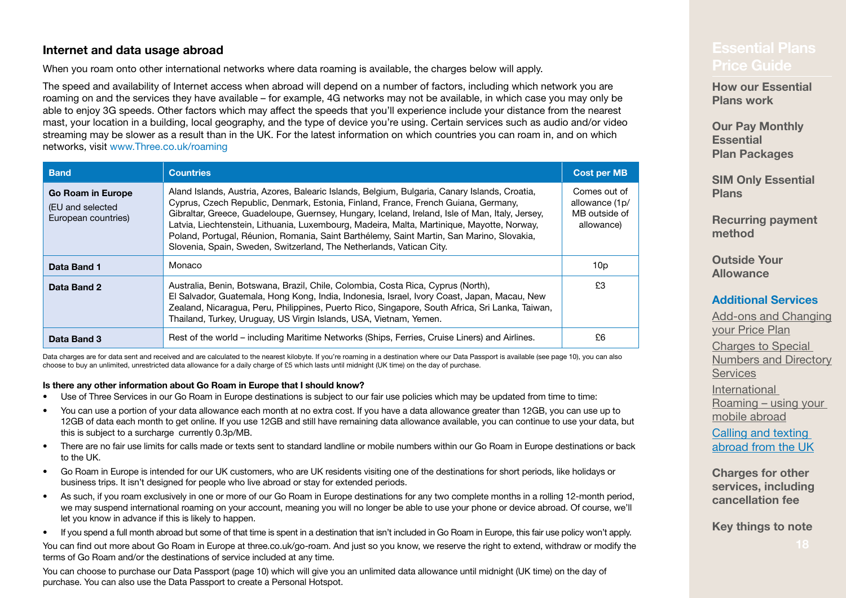#### <span id="page-17-0"></span>**Internet and data usage abroad**

When you roam onto other international networks where data roaming is available, the charges below will apply.

The speed and availability of Internet access when abroad will depend on a number of factors, including which network you are roaming on and the services they have available – for example, 4G networks may not be available, in which case you may only be able to enjoy 3G speeds. Other factors which may affect the speeds that you'll experience include your distance from the nearest mast, your location in a building, local geography, and the type of device you're using. Certain services such as audio and/or video streaming may be slower as a result than in the UK. For the latest information on which countries you can roam in, and on which networks, visit [www.Three.co.uk/roaming](http://www.Three.co.uk/roaming)

<span id="page-17-1"></span>

| <b>Band</b>                                                  | <b>Countries</b>                                                                                                                                                                                                                                                                                                                                                                                                                                                                                                                                          | <b>Cost per MB</b>                                            |
|--------------------------------------------------------------|-----------------------------------------------------------------------------------------------------------------------------------------------------------------------------------------------------------------------------------------------------------------------------------------------------------------------------------------------------------------------------------------------------------------------------------------------------------------------------------------------------------------------------------------------------------|---------------------------------------------------------------|
| Go Roam in Europe<br>(EU and selected<br>European countries) | Aland Islands, Austria, Azores, Balearic Islands, Belgium, Bulgaria, Canary Islands, Croatia,<br>Cyprus, Czech Republic, Denmark, Estonia, Finland, France, French Guiana, Germany,<br>Gibraltar, Greece, Guadeloupe, Guernsey, Hungary, Iceland, Ireland, Isle of Man, Italy, Jersey,<br>Latvia, Liechtenstein, Lithuania, Luxembourg, Madeira, Malta, Martinique, Mayotte, Norway,<br>Poland, Portugal, Réunion, Romania, Saint Barthélemy, Saint Martin, San Marino, Slovakia,<br>Slovenia, Spain, Sweden, Switzerland, The Netherlands, Vatican City. | Comes out of<br>allowance (1p/<br>MB outside of<br>allowance) |
| Data Band 1                                                  | Monaco                                                                                                                                                                                                                                                                                                                                                                                                                                                                                                                                                    | 10 <sub>p</sub>                                               |
| Data Band 2                                                  | Australia, Benin, Botswana, Brazil, Chile, Colombia, Costa Rica, Cyprus (North),<br>El Salvador, Guatemala, Hong Kong, India, Indonesia, Israel, Ivory Coast, Japan, Macau, New<br>Zealand, Nicaragua, Peru, Philippines, Puerto Rico, Singapore, South Africa, Sri Lanka, Taiwan,<br>Thailand, Turkey, Uruguay, US Virgin Islands, USA, Vietnam, Yemen.                                                                                                                                                                                                  | £3                                                            |
| Data Band 3                                                  | Rest of the world – including Maritime Networks (Ships, Ferries, Cruise Liners) and Airlines.                                                                                                                                                                                                                                                                                                                                                                                                                                                             | £6                                                            |

Data charges are for data sent and received and are calculated to the nearest kilobyte. If you're roaming in a destination where our Data Passport is available (see [page](#page-9-0) 10), you can also choose to buy an unlimited, unrestricted data allowance for a daily charge of £5 which lasts until midnight (UK time) on the day of purchase.

#### **Is there any other information about Go Roam in Europe that I should know?**

- Use of Three Services in our Go Roam in Europe destinations is subject to our fair use policies which may be updated from time to time:
- You can use a portion of your data allowance each month at no extra cost. If you have a data allowance greater than 12GB, you can use up to 12GB of data each month to get online. If you use 12GB and still have remaining data allowance available, you can continue to use your data, but this is subject to a surcharge currently 0.3p/MB.
- There are no fair use limits for calls made or texts sent to standard landline or mobile numbers within our Go Roam in Europe destinations or back to the UK.
- Go Roam in Europe is intended for our UK customers, who are UK residents visiting one of the destinations for short periods, like holidays or business trips. It isn't designed for people who live abroad or stay for extended periods.
- As such, if you roam exclusively in one or more of our Go Roam in Europe destinations for any two complete months in a rolling 12-month period, we may suspend international roaming on your account, meaning you will no longer be able to use your phone or device abroad. Of course, we'll let you know in advance if this is likely to happen.
- If you spend a full month abroad but some of that time is spent in a destination that isn't included in Go Roam in Europe, this fair use policy won't apply.

You can find out more about Go Roam in Europe at three.co.uk/go-roam. And just so you know, we reserve the right to extend, withdraw or modify the terms of Go Roam and/or the destinations of service included at any time.

You can choose to purchase our Data Passport (page 10) which will give you an unlimited data allowance until midnight (UK time) on the day of purchase. You can also use the Data Passport to create a Personal Hotspot.

## **[Price Guide](#page-0-0)**

**[How our Essential](#page-2-0)  [Plans work](#page-2-0)**

**Our Pay Monthly Essential Plan Packages**

**[SIM Only Essential](#page-4-0)  [Plans](#page-4-0)**

**[Recurring payment](#page-5-0)  [method](#page-5-0)**

**[Outside Your](#page-6-0)  [Allowance](#page-6-0)**

#### **[Additional Services](#page-7-0)**

Add-ons and Changing [your Price Plan](#page-8-0) Charges to Special [Numbers and Directory](#page-10-0)  **[Services](#page-10-0)** [International](#page-13-0)  Roaming [– using your](#page-13-0)  [mobile abroad](#page-13-0)

Calling and texting abroad from the UK

**[Charges for other](#page-19-0)  [services, including](#page-19-0)  [cancellation fee](#page-19-0)**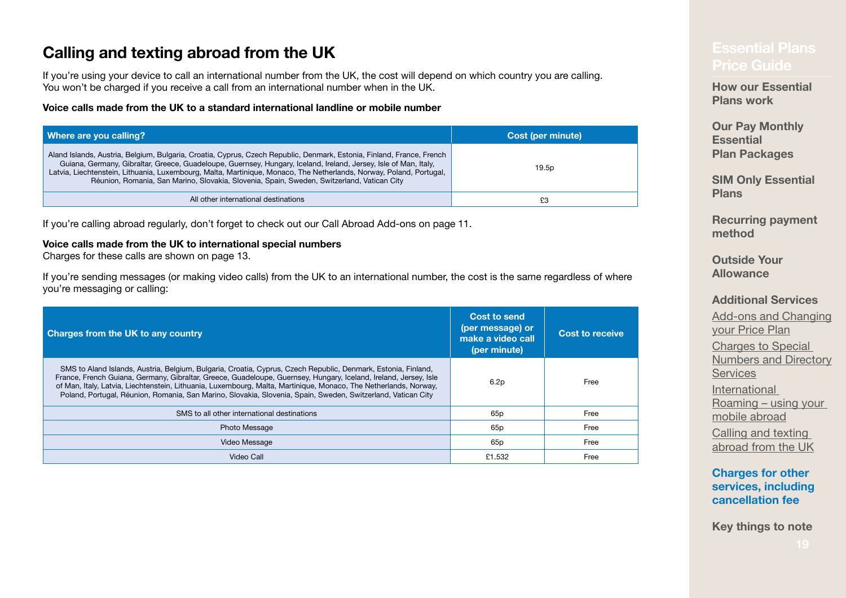## **Calling and texting abroad from the UK**<br>[Price Guide](#page-0-0)

If you're using your device to call an international number from the UK, the cost will depend on which country you are calling. You won't be charged if you receive a call from an international number when in the UK.

#### **Voice calls made from the UK to a standard international landline or mobile number**

| Where are you calling?                                                                                                                                                                                                                                                                                                                                                                                                                                         | Cost (per minute) |
|----------------------------------------------------------------------------------------------------------------------------------------------------------------------------------------------------------------------------------------------------------------------------------------------------------------------------------------------------------------------------------------------------------------------------------------------------------------|-------------------|
| Aland Islands, Austria, Belgium, Bulgaria, Croatia, Cyprus, Czech Republic, Denmark, Estonia, Finland, France, French<br>Guiana, Germany, Gibraltar, Greece, Guadeloupe, Guernsey, Hungary, Iceland, Ireland, Jersey, Isle of Man, Italy,<br>Latvia, Liechtenstein, Lithuania, Luxembourg, Malta, Martinique, Monaco, The Netherlands, Norway, Poland, Portugal,<br>Réunion, Romania, San Marino, Slovakia, Slovenia, Spain, Sweden, Switzerland, Vatican City | 19.5p             |
| All other international destinations                                                                                                                                                                                                                                                                                                                                                                                                                           | £3                |

If you're calling abroad regularly, don't forget to check out our Call Abroad Add-ons on [page](#page-10-1) 11.

#### **Voice calls made from the UK to international special numbers**

Charges for these calls are shown on page 13.

If you're sending messages (or making video calls) from the UK to an international number, the cost is the same regardless of where you're messaging or calling:

| Charges from the UK to any country                                                                                                                                                                                                                                                                                                                                                                                                                                    | Cost to send<br>(per message) or<br>make a video call<br>(per minute) | <b>Cost to receive</b> |
|-----------------------------------------------------------------------------------------------------------------------------------------------------------------------------------------------------------------------------------------------------------------------------------------------------------------------------------------------------------------------------------------------------------------------------------------------------------------------|-----------------------------------------------------------------------|------------------------|
| SMS to Aland Islands, Austria, Belgium, Bulgaria, Croatia, Cyprus, Czech Republic, Denmark, Estonia, Finland,<br>France, French Guiana, Germany, Gibraltar, Greece, Guadeloupe, Guernsey, Hungary, Iceland, Ireland, Jersey, Isle<br>of Man, Italy, Latvia, Liechtenstein, Lithuania, Luxembourg, Malta, Martinique, Monaco, The Netherlands, Norway,<br>Poland, Portugal, Réunion, Romania, San Marino, Slovakia, Slovenia, Spain, Sweden, Switzerland, Vatican City | 6.2p                                                                  | Free                   |
| SMS to all other international destinations                                                                                                                                                                                                                                                                                                                                                                                                                           | 65 <sub>p</sub>                                                       | Free                   |
| <b>Photo Message</b>                                                                                                                                                                                                                                                                                                                                                                                                                                                  | 65 <sub>p</sub>                                                       | Free                   |
| Video Message                                                                                                                                                                                                                                                                                                                                                                                                                                                         | 65 <sub>p</sub>                                                       | Free                   |
| Video Call                                                                                                                                                                                                                                                                                                                                                                                                                                                            | £1.532                                                                | Free                   |

**[How our Essential](#page-2-0)  [Plans work](#page-2-0)**

**Our Pay Monthly Essential Plan Packages**

**[SIM Only Essential](#page-4-0)  [Plans](#page-4-0)**

**[Recurring payment](#page-5-0)  [method](#page-5-0)**

**[Outside Your](#page-6-0)  [Allowance](#page-6-0)**

#### **[Additional Services](#page-7-0)**

Add-ons and Changing [your Price Plan](#page-8-0) Charges to Special [Numbers and Directory](#page-10-0)  [Services](#page-10-0) [International](#page-13-0)  Roaming [– using your](#page-13-0)  [mobile abroad](#page-13-0) Calling and texting abroad from the UK

#### **[Charges for other](#page-19-0)  [services, including](#page-19-0)  [cancellation fee](#page-19-0)**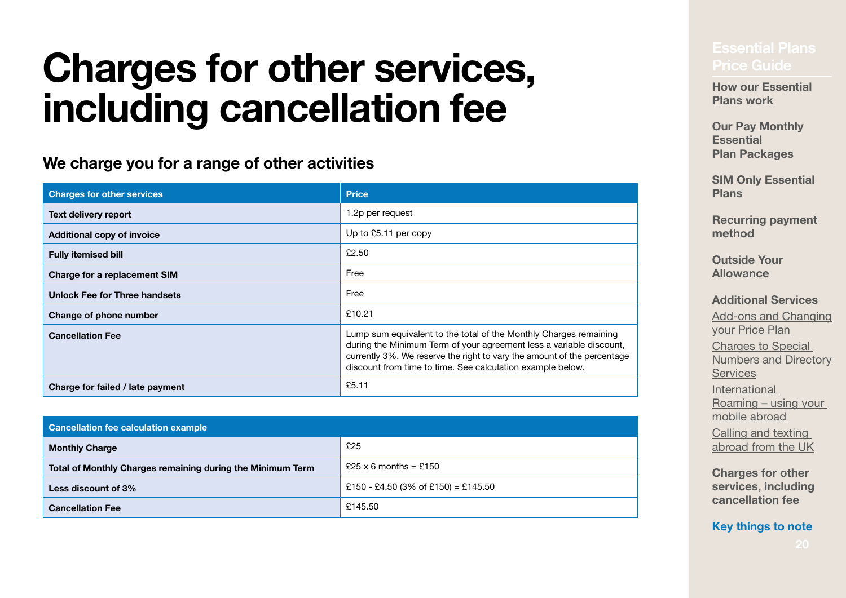# <span id="page-19-0"></span>**Charges for other services, [Price Guide](#page-0-0) Plans including cancellation fee**

## **We charge you for a range of other activities**

| <b>Charges for other services</b>    | <b>Price</b>                                                                                                                                                                                                                                                                      |  |
|--------------------------------------|-----------------------------------------------------------------------------------------------------------------------------------------------------------------------------------------------------------------------------------------------------------------------------------|--|
| Text delivery report                 | 1.2p per request                                                                                                                                                                                                                                                                  |  |
| <b>Additional copy of invoice</b>    | Up to £5.11 per copy                                                                                                                                                                                                                                                              |  |
| <b>Fully itemised bill</b>           | £2.50                                                                                                                                                                                                                                                                             |  |
| <b>Charge for a replacement SIM</b>  | Free                                                                                                                                                                                                                                                                              |  |
| <b>Unlock Fee for Three handsets</b> | Free                                                                                                                                                                                                                                                                              |  |
| Change of phone number               | £10.21                                                                                                                                                                                                                                                                            |  |
| <b>Cancellation Fee</b>              | Lump sum equivalent to the total of the Monthly Charges remaining<br>during the Minimum Term of your agreement less a variable discount,<br>currently 3%. We reserve the right to vary the amount of the percentage<br>discount from time to time. See calculation example below. |  |
| Charge for failed / late payment     | £5.11                                                                                                                                                                                                                                                                             |  |

| Cancellation fee calculation example                       |                                     |  |
|------------------------------------------------------------|-------------------------------------|--|
| <b>Monthly Charge</b>                                      | £25                                 |  |
| Total of Monthly Charges remaining during the Minimum Term | £25 x 6 months = £150               |  |
| Less discount of 3%                                        | £150 - £4.50 (3% of £150) = £145.50 |  |
| <b>Cancellation Fee</b>                                    | £145.50                             |  |

**How our Essential [Plans work](#page-2-0)**

**Our Pay Monthly Essential Plan Packages**

**[SIM Only Essential](#page-4-0)  [Plans](#page-4-0)**

**[Recurring payment](#page-5-0)  [method](#page-5-0)**

**[Outside Your](#page-6-0)  [Allowance](#page-6-0)**

**[Additional Services](#page-7-0)**

Add-ons and Changing [your Price Plan](#page-8-0) Charges to Special [Numbers and Directory](#page-10-0)  **[Services](#page-10-0)** [International](#page-13-0)  Roaming [– using your](#page-13-0)  [mobile abroad](#page-13-0) Calling and texting abroad from the UK

**[Charges for other](#page-19-0)  [services, including](#page-19-0)  [cancellation fee](#page-19-0)**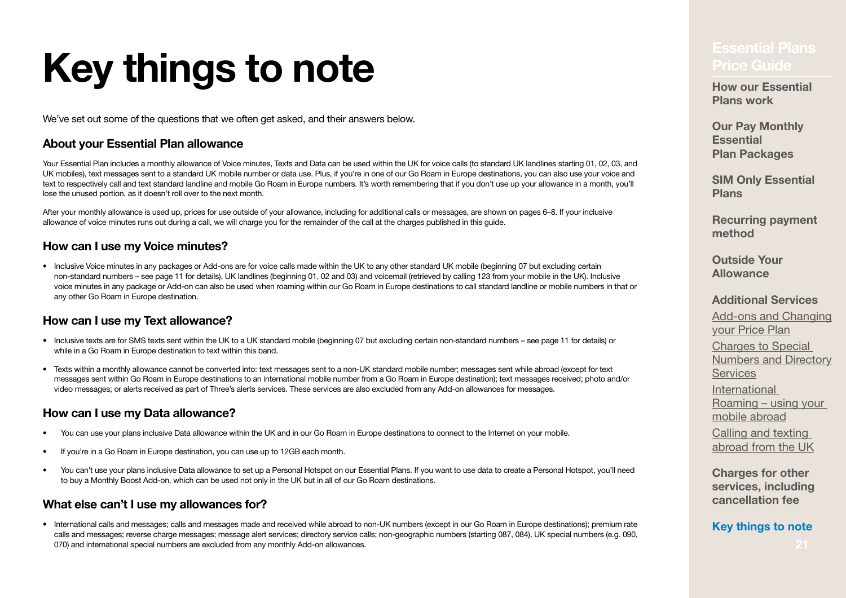# <span id="page-20-0"></span>**Key things to note** *Price Guide*

We've set out some of the questions that we often get asked, and their answers below.

#### **About your Essential Plan allowance**

Your Essential Plan includes a monthly allowance of Voice minutes. Texts and Data can be used within the UK for voice calls (to standard UK landlines starting 01, 02, 03, and UK mobiles), text messages sent to a standard UK mobile number or data use. Plus, if you're in one of our Go Roam in Europe destinations, you can also use your voice and text to respectively call and text standard landline and mobile Go Roam in Europe numbers. It's worth remembering that if you don't use up your allowance in a month, you'll lose the unused portion, as it doesn't roll over to the next month.

After your monthly allowance is used up, prices for use outside of your allowance, including for additional calls or messages, are shown on pages [6](#page-5-1)[–8.](#page-7-0) If your inclusive allowance of voice minutes runs out during a call, we will charge you for the remainder of the call at the charges published in this guide.

#### **How can I use my Voice minutes?**

• Inclusive Voice minutes in any packages or Add-ons are for voice calls made within the UK to any other standard UK mobile (beginning 07 but excluding certain non-standard numbers – see [page](#page-10-0) 11 for details). UK landlines (beginning 01, 02 and 03) and voicemail (retrieved by calling 123 from your mobile in the UK). Inclusive voice minutes in any package or Add-on can also be used when roaming within our Go Roam in Europe destinations to call standard landline or mobile numbers in that or any other Go Roam in Europe destination.

#### **How can I use my Text allowance?**

- Inclusive texts are for SMS texts sent within the UK to a UK standard mobile (beginning 07 but excluding certain non-standard numbers see [page](#page-10-0) 11 for details) or while in a Go Roam in Europe destination to text within this band.
- Texts within a monthly allowance cannot be converted into: text messages sent to a non-UK standard mobile number; messages sent while abroad (except for text messages sent within Go Roam in Europe destinations to an international mobile number from a Go Roam in Europe destination); text messages received; photo and/or video messages; or alerts received as part of Three's alerts services. These services are also excluded from any Add-on allowances for messages.

#### **How can I use my Data allowance?**

- You can use your plans inclusive Data allowance within the UK and in our Go Roam in Europe destinations to connect to the Internet on your mobile.
- If you're in a Go Roam in Europe destination, you can use up to 12GB each month.
- You can't use your plans inclusive Data allowance to set up a Personal Hotspot on our Essential Plans. If you want to use data to create a Personal Hotspot, you'll need to buy a Monthly Boost Add-on, which can be used not only in the UK but in all of our Go Roam destinations.

#### **What else can't I use my allowances for?**

• International calls and messages; calls and messages made and received while abroad to non-UK numbers (except in our Go Roam in Europe destinations); premium rate calls and messages; reverse charge messages; message alert services; directory service calls; non-geographic numbers (starting 087, 084), UK special numbers (e.g. 090, 070) and international special numbers are excluded from any monthly Add-on allowances.

**How our Essential [Plans work](#page-2-0)**

**Our Pay Monthly Essential Plan Packages**

**[SIM Only Essential](#page-4-0)  [Plans](#page-4-0)**

**[Recurring payment](#page-5-0)  [method](#page-5-0)**

**[Outside Your](#page-6-0)  [Allowance](#page-6-0)**

#### **[Additional Services](#page-7-0)**

Add-ons and Changing [your Price Plan](#page-8-0) Charges to Special [Numbers and Directory](#page-10-0)  **[Services](#page-10-0)** [International](#page-13-0)  Roaming [– using your](#page-13-0)  [mobile abroad](#page-13-0) Calling and texting abroad from the UK

**[Charges for other](#page-19-0)  [services, including](#page-19-0)  [cancellation fee](#page-19-0)**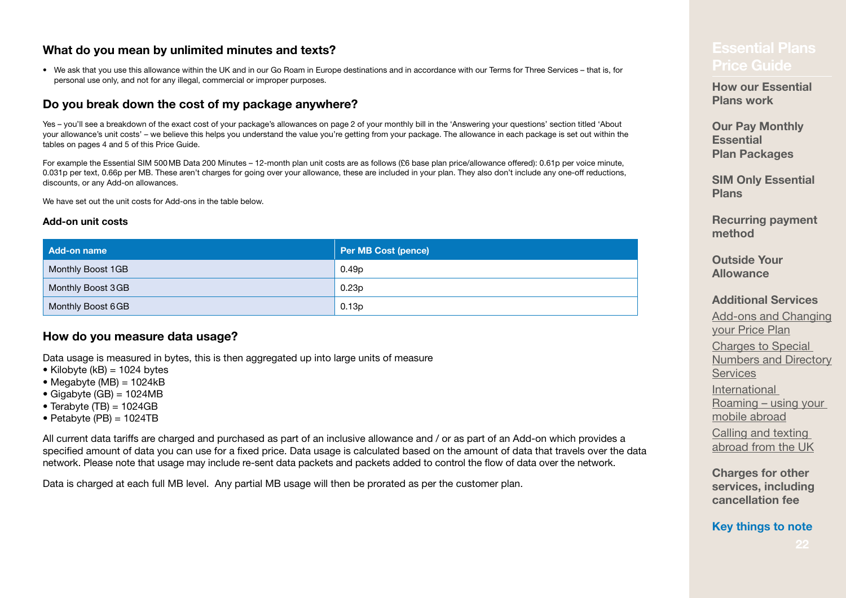#### **What do you mean by unlimited minutes and texts?**

• We ask that you use this allowance within the UK and in our Go Roam in Europe destinations and in accordance with our Terms for Three Services – that is, for personal use only, and not for any illegal, commercial or improper purposes.

#### **Do you break down the cost of my package anywhere?**

Yes – you'll see a breakdown of the exact cost of your package's allowances on [page](#page-1-0) 2 of your monthly bill in the 'Answering your questions' section titled 'About your allowance's unit costs' – we believe this helps you understand the value you're getting from your package. The allowance in each package is set out within the tables on pages 4 and [5](#page-4-0) of this Price Guide.

For example the Essential SIM 500MB Data 200 Minutes – 12-month plan unit costs are as follows (£6 base plan price/allowance offered): 0.61p per voice minute, 0.031p per text, 0.66p per MB. These aren't charges for going over your allowance, these are included in your plan. They also don't include any one-off reductions, discounts, or any Add‑on allowances.

We have set out the unit costs for Add-ons in the table below.

#### **Add-on unit costs**

| Add-on name       | Per MB Cost (pence) |
|-------------------|---------------------|
| Monthly Boost 1GB | 0.49p               |
| Monthly Boost 3GB | 0.23p               |
| Monthly Boost 6GB | 0.13p               |

#### **How do you measure data usage?**

Data usage is measured in bytes, this is then aggregated up into large units of measure

- $\bullet$  Kilobyte (kB) = 1024 bytes
- $\bullet$  Megabyte (MB) = 1024kB
- $\bullet$  Gigabyte (GB) = 1024MB
- $\bullet$  Terabyte (TB) = 1024GB
- $\bullet$  Petabyte (PB) = 1024TB

All current data tariffs are charged and purchased as part of an inclusive allowance and / or as part of an Add-on which provides a specified amount of data you can use for a fixed price. Data usage is calculated based on the amount of data that travels over the data network. Please note that usage may include re-sent data packets and packets added to control the flow of data over the network.

Data is charged at each full MB level. Any partial MB usage will then be prorated as per the customer plan.

## **[Price Guide](#page-0-0)**

**[How our Essential](#page-2-0)  [Plans work](#page-2-0)**

**Our Pay Monthly Essential Plan Packages**

**[SIM Only Essential](#page-4-0)  [Plans](#page-4-0)**

**[Recurring payment](#page-5-0)  [method](#page-5-0)**

**[Outside Your](#page-6-0)  [Allowance](#page-6-0)**

**[Additional Services](#page-7-0)**

Add-ons and Changing [your Price Plan](#page-8-0) Charges to Special [Numbers and Directory](#page-10-0)  **[Services](#page-10-0)** [International](#page-13-0)  Roaming [– using your](#page-13-0)  [mobile abroad](#page-13-0) Calling and texting abroad from the UK

**[Charges for other](#page-19-0)  [services, including](#page-19-0)  [cancellation fee](#page-19-0)**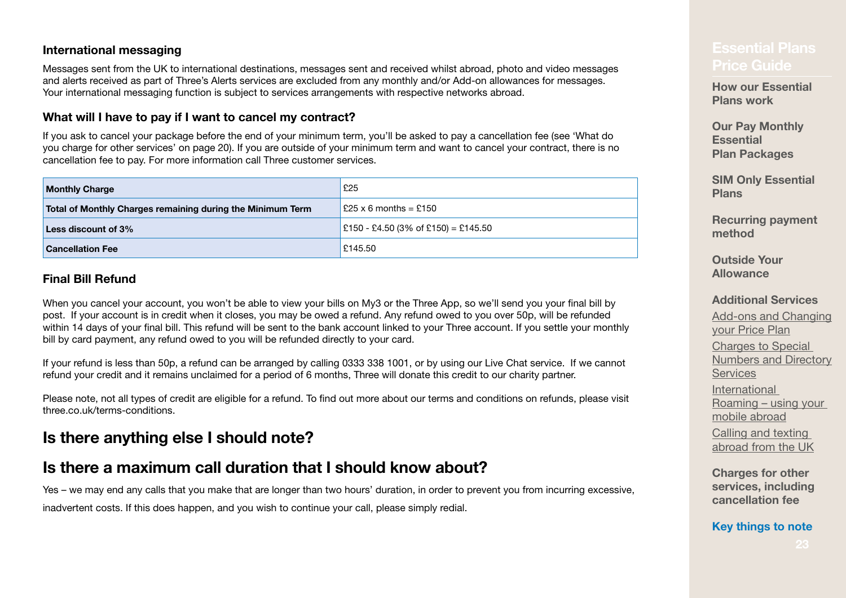#### **International messaging**

Messages sent from the UK to international destinations, messages sent and received whilst abroad, photo and video messages and alerts received as part of Three's Alerts services are excluded from any monthly and/or Add-on allowances for messages. Your international messaging function is subject to services arrangements with respective networks abroad.

### **What will I have to pay if I want to cancel my contract?**

If you ask to cancel your package before the end of your minimum term, you'll be asked to pay a cancellation fee (see 'What do you charge for other services' on [page](#page-19-0) 20). If you are outside of your minimum term and want to cancel your contract, there is no cancellation fee to pay. For more information call Three customer services.

| <b>Monthly Charge</b>                                      | £25                                         |  |
|------------------------------------------------------------|---------------------------------------------|--|
| Total of Monthly Charges remaining during the Minimum Term | $\vert$ £25 x 6 months = £150               |  |
| <b>Less discount of 3%</b>                                 | $\vert$ £150 - £4.50 (3% of £150) = £145.50 |  |
| <b>Cancellation Fee</b>                                    | £145.50                                     |  |

#### **Final Bill Refund**

When you cancel your account, you won't be able to view your bills on My3 or the Three App, so we'll send you your final bill by post. If your account is in credit when it closes, you may be owed a refund. Any refund owed to you over 50p, will be refunded within 14 days of your final bill. This refund will be sent to the bank account linked to your Three account. If you settle your monthly bill by card payment, any refund owed to you will be refunded directly to your card.

If your refund is less than 50p, a refund can be arranged by calling 0333 338 1001, or by using our Live Chat service. If we cannot refund your credit and it remains unclaimed for a period of 6 months, Three will donate this credit to our charity partner.

Please note, not all types of credit are eligible for a refund. To find out more about our terms and conditions on refunds, please visit three.co.uk/terms-conditions.

## **Is there anything else I should note?**

## **Is there a maximum call duration that I should know about?**

Yes – we may end any calls that you make that are longer than two hours' duration, in order to prevent you from incurring excessive,

inadvertent costs. If this does happen, and you wish to continue your call, please simply redial.

## **[Price Guide](#page-0-0)**

**[How our Essential](#page-2-0)  [Plans work](#page-2-0)**

**Our Pay Monthly Essential Plan Packages**

**[SIM Only Essential](#page-4-0)  [Plans](#page-4-0)**

**[Recurring payment](#page-5-0)  [method](#page-5-0)**

**[Outside Your](#page-6-0)  [Allowance](#page-6-0)**

#### **[Additional Services](#page-7-0)**

Add-ons and Changing [your Price Plan](#page-8-0) Charges to Special [Numbers and Directory](#page-10-0)  **[Services](#page-10-0)** [International](#page-13-0)  Roaming [– using your](#page-13-0)  [mobile abroad](#page-13-0) Calling and texting abroad from the UK

**[Charges for other](#page-19-0)  [services, including](#page-19-0)  [cancellation fee](#page-19-0)**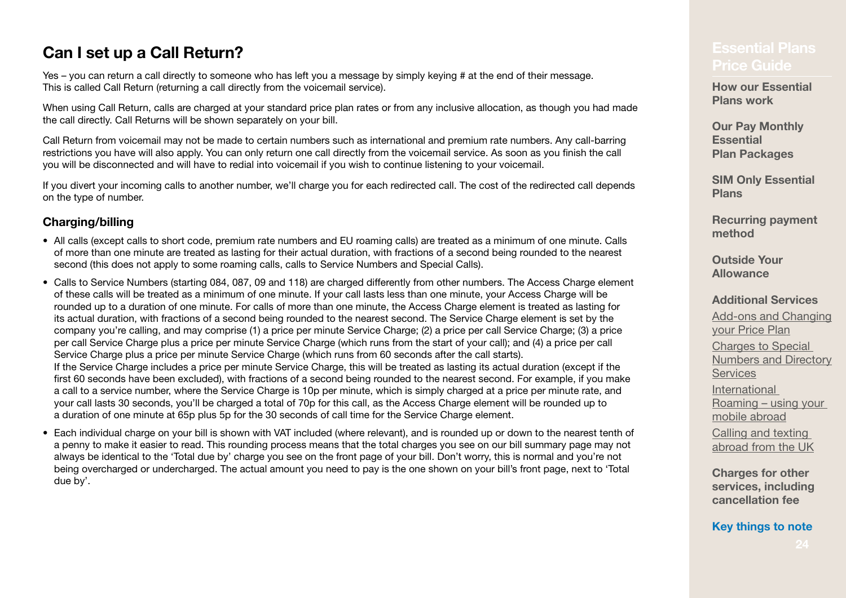## **Can I set up a Call Return?**

Yes – you can return a call directly to someone who has left you a message by simply keying # at the end of their message. This is called Call Return (returning a call directly from the voicemail service).

When using Call Return, calls are charged at your standard price plan rates or from any inclusive allocation, as though you had made the call directly. Call Returns will be shown separately on your bill.

Call Return from voicemail may not be made to certain numbers such as international and premium rate numbers. Any call‑barring restrictions you have will also apply. You can only return one call directly from the voicemail service. As soon as you finish the call you will be disconnected and will have to redial into voicemail if you wish to continue listening to your voicemail.

If you divert your incoming calls to another number, we'll charge you for each redirected call. The cost of the redirected call depends on the type of number.

### **Charging/billing**

- All calls (except calls to short code, premium rate numbers and EU roaming calls) are treated as a minimum of one minute. Calls of more than one minute are treated as lasting for their actual duration, with fractions of a second being rounded to the nearest second (this does not apply to some roaming calls, calls to Service Numbers and Special Calls).
- Calls to Service Numbers (starting 084, 087, 09 and 118) are charged differently from other numbers. The Access Charge element of these calls will be treated as a minimum of one minute. If your call lasts less than one minute, your Access Charge will be rounded up to a duration of one minute. For calls of more than one minute, the Access Charge element is treated as lasting for its actual duration, with fractions of a second being rounded to the nearest second. The Service Charge element is set by the company you're calling, and may comprise (1) a price per minute Service Charge; (2) a price per call Service Charge; (3) a price per call Service Charge plus a price per minute Service Charge (which runs from the start of your call); and (4) a price per call Service Charge plus a price per minute Service Charge (which runs from 60 seconds after the call starts). If the Service Charge includes a price per minute Service Charge, this will be treated as lasting its actual duration (except if the first 60 seconds have been excluded), with fractions of a second being rounded to the nearest second. For example, if you make a call to a service number, where the Service Charge is 10p per minute, which is simply charged at a price per minute rate, and your call lasts 30 seconds, you'll be charged a total of 70p for this call, as the Access Charge element will be rounded up to a duration of one minute at 65p plus 5p for the 30 seconds of call time for the Service Charge element.
- Each individual charge on your bill is shown with VAT included (where relevant), and is rounded up or down to the nearest tenth of a penny to make it easier to read. This rounding process means that the total charges you see on our bill summary page may not always be identical to the 'Total due by' charge you see on the front page of your bill. Don't worry, this is normal and you're not being overcharged or undercharged. The actual amount you need to pay is the one shown on your bill's front page, next to 'Total due by'.

## **[Price Guide](#page-0-0)**

**[How our Essential](#page-2-0)  [Plans work](#page-2-0)**

**Our Pay Monthly Essential Plan Packages**

**[SIM Only Essential](#page-4-0)  [Plans](#page-4-0)**

**[Recurring payment](#page-5-0)  [method](#page-5-0)**

**[Outside Your](#page-6-0)  [Allowance](#page-6-0)**

**[Additional Services](#page-7-0)**

Add-ons and Changing [your Price Plan](#page-8-0) Charges to Special [Numbers and Directory](#page-10-0)  **[Services](#page-10-0)** [International](#page-13-0)  Roaming [– using your](#page-13-0)  [mobile abroad](#page-13-0) Calling and texting abroad from the UK

**[Charges for other](#page-19-0)  [services, including](#page-19-0)  [cancellation fee](#page-19-0)**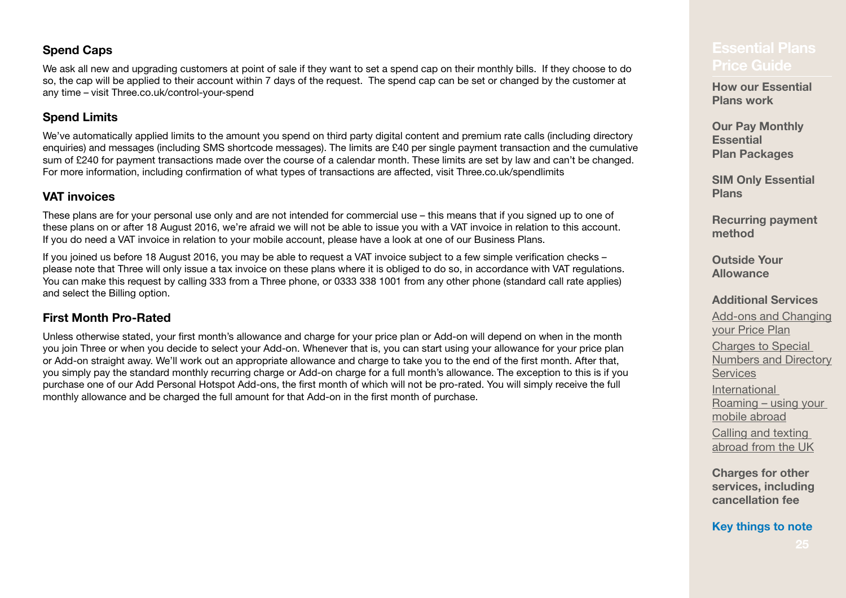#### **Spend Caps**

We ask all new and upgrading customers at point of sale if they want to set a spend cap on their monthly bills. If they choose to do so, the cap will be applied to their account within 7 days of the request. The spend cap can be set or changed by the customer at any time – visit [Three.co.uk/control-your-spend](http://Three.co.uk/control-your-spend)

### **Spend Limits**

We've automatically applied limits to the amount you spend on third party digital content and premium rate calls (including directory enquiries) and messages (including SMS shortcode messages). The limits are £40 per single payment transaction and the cumulative sum of £240 for payment transactions made over the course of a calendar month. These limits are set by law and can't be changed. For more information, including confirmation of what types of transactions are affected, visit [Three.co.uk/spendlimits](http://Three.co.uk/spendlimits)

### **VAT invoices**

These plans are for your personal use only and are not intended for commercial use – this means that if you signed up to one of these plans on or after 18 August 2016, we're afraid we will not be able to issue you with a VAT invoice in relation to this account. If you do need a VAT invoice in relation to your mobile account, please have a look at one of our Business Plans.

If you joined us before 18 August 2016, you may be able to request a VAT invoice subject to a few simple verification checks – please note that Three will only issue a tax invoice on these plans where it is obliged to do so, in accordance with VAT regulations. You can make this request by calling 333 from a Three phone, or 0333 338 1001 from any other phone (standard call rate applies) and select the Billing option.

### **First Month Pro-Rated**

Unless otherwise stated, your first month's allowance and charge for your price plan or Add‑on will depend on when in the month you join Three or when you decide to select your Add-on. Whenever that is, you can start using your allowance for your price plan or Add-on straight away. We'll work out an appropriate allowance and charge to take you to the end of the first month. After that, you simply pay the standard monthly recurring charge or Add‑on charge for a full month's allowance. The exception to this is if you purchase one of our Add Personal Hotspot Add-ons, the first month of which will not be pro-rated. You will simply receive the full monthly allowance and be charged the full amount for that Add-on in the first month of purchase.

## **[Price Guide](#page-0-0)**

**[How our Essential](#page-2-0)  [Plans work](#page-2-0)**

**Our Pay Monthly Essential Plan Packages**

**[SIM Only Essential](#page-4-0)  [Plans](#page-4-0)**

**[Recurring payment](#page-5-0)  [method](#page-5-0)**

**[Outside Your](#page-6-0)  [Allowance](#page-6-0)**

#### **[Additional Services](#page-7-0)**

Add-ons and Changing [your Price Plan](#page-8-0) Charges to Special [Numbers and Directory](#page-10-0)  **[Services](#page-10-0)** [International](#page-13-0)  Roaming [– using your](#page-13-0)  [mobile abroad](#page-13-0) Calling and texting abroad from the UK

**[Charges for other](#page-19-0)  [services, including](#page-19-0)  [cancellation fee](#page-19-0)**